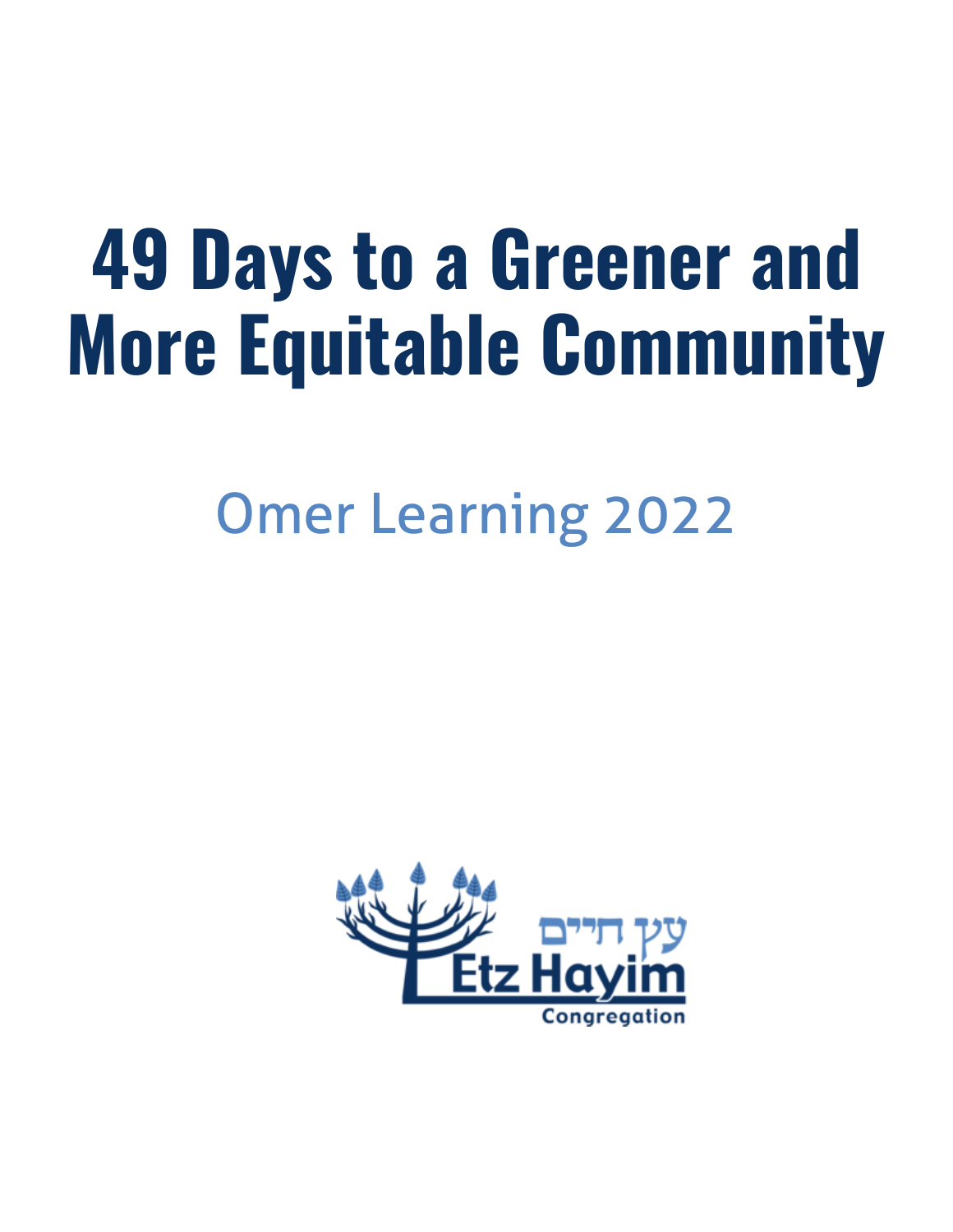# **49 Days to a Greener and More Equitable Community**

## Omer Learning 2022

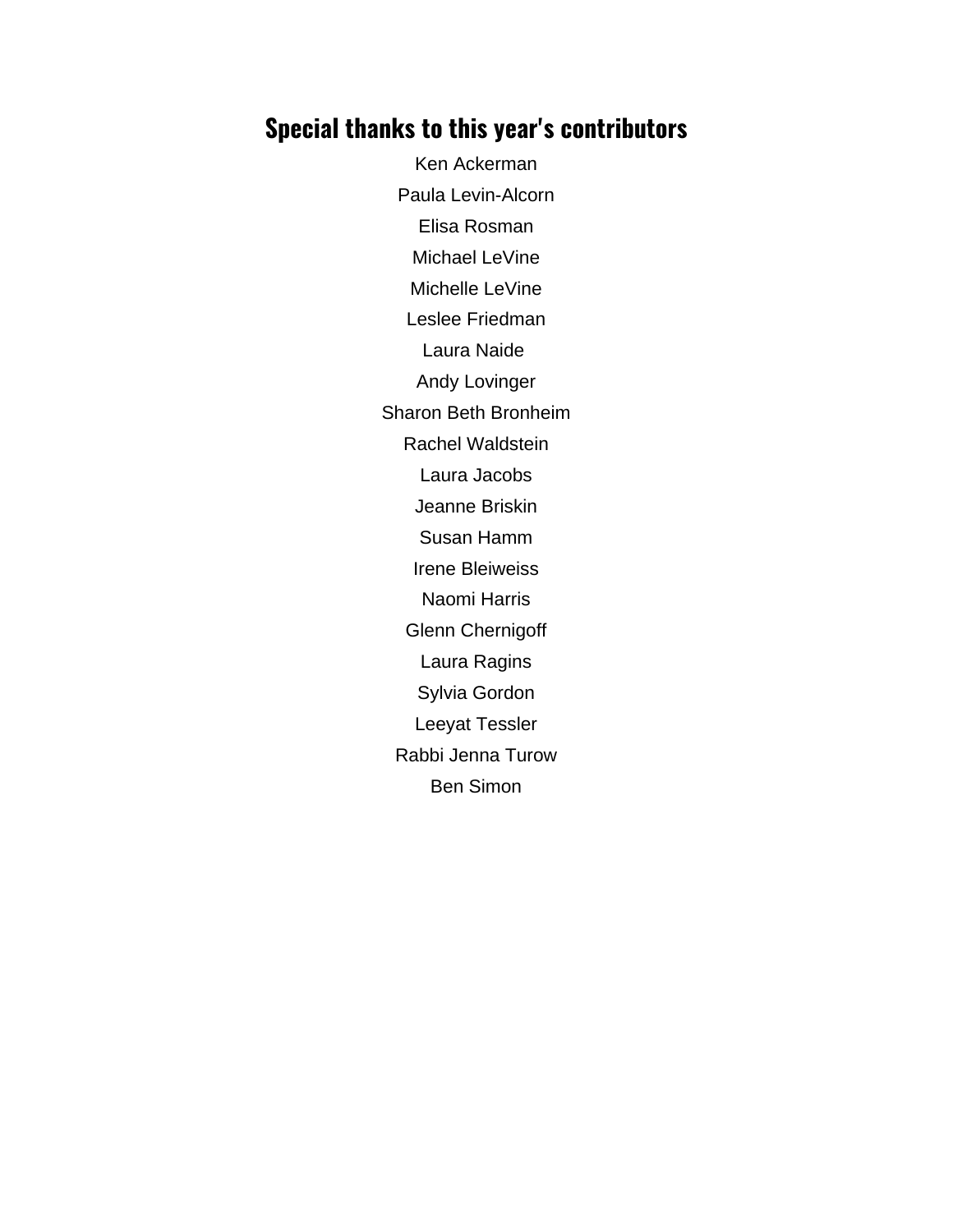## **Special thanks to this year's contributors**

Ken Ackerman Paula Levin-Alcorn Elisa Rosman Michael LeVine Michelle LeVine Leslee Friedman Laura Naide Andy Lovinger Sharon Beth Bronheim Rachel Waldstein Laura Jacobs Jeanne Briskin Susan Hamm Irene Bleiweiss Naomi Harris Glenn Chernigoff Laura Ragins Sylvia Gordon Leeyat Tessler Rabbi Jenna Turow Ben Simon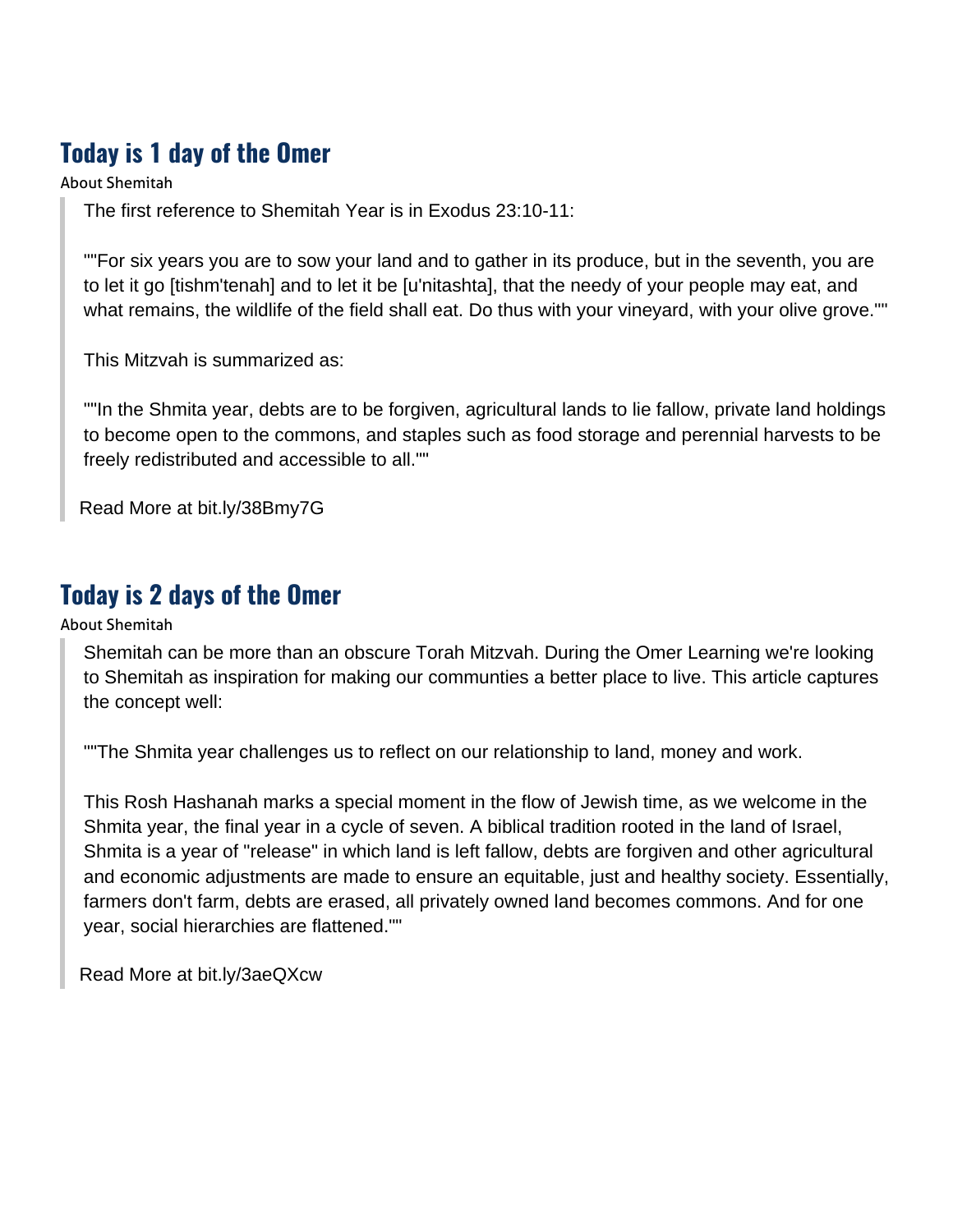## **Today is 1 day of the Omer**

About Shemitah

The first reference to Shemitah Year is in Exodus 23:10-11:

""For six years you are to sow your land and to gather in its produce, but in the seventh, you are to let it go [tishm'tenah] and to let it be [u'nitashta], that the needy of your people may eat, and what remains, the wildlife of the field shall eat. Do thus with your vineyard, with your olive grove.""

This Mitzvah is summarized as:

""In the Shmita year, debts are to be forgiven, agricultural lands to lie fallow, private land holdings to become open to the commons, and staples such as food storage and perennial harvests to be freely redistributed and accessible to all.""

[Read More at bit.ly/38Bmy7G](https://www.myjewishlearning.com/article/what-is-shemita-the-sabbatical-year/)

#### **Today is 2 days of the Omer**

About Shemitah

Shemitah can be more than an obscure Torah Mitzvah. During the Omer Learning we're looking to Shemitah as inspiration for making our communties a better place to live. This article captures the concept well:

""The Shmita year challenges us to reflect on our relationship to land, money and work.

This Rosh Hashanah marks a special moment in the flow of Jewish time, as we welcome in the Shmita year, the final year in a cycle of seven. A biblical tradition rooted in the land of Israel, Shmita is a year of "release" in which land is left fallow, debts are forgiven and other agricultural and economic adjustments are made to ensure an equitable, just and healthy society. Essentially, farmers don't farm, debts are erased, all privately owned land becomes commons. And for one year, social hierarchies are flattened.""

[Read More at bit.ly/3aeQXcw](https://www.jewishexponent.com/2014/09/17/shmita-rituals-seven-year-switch/)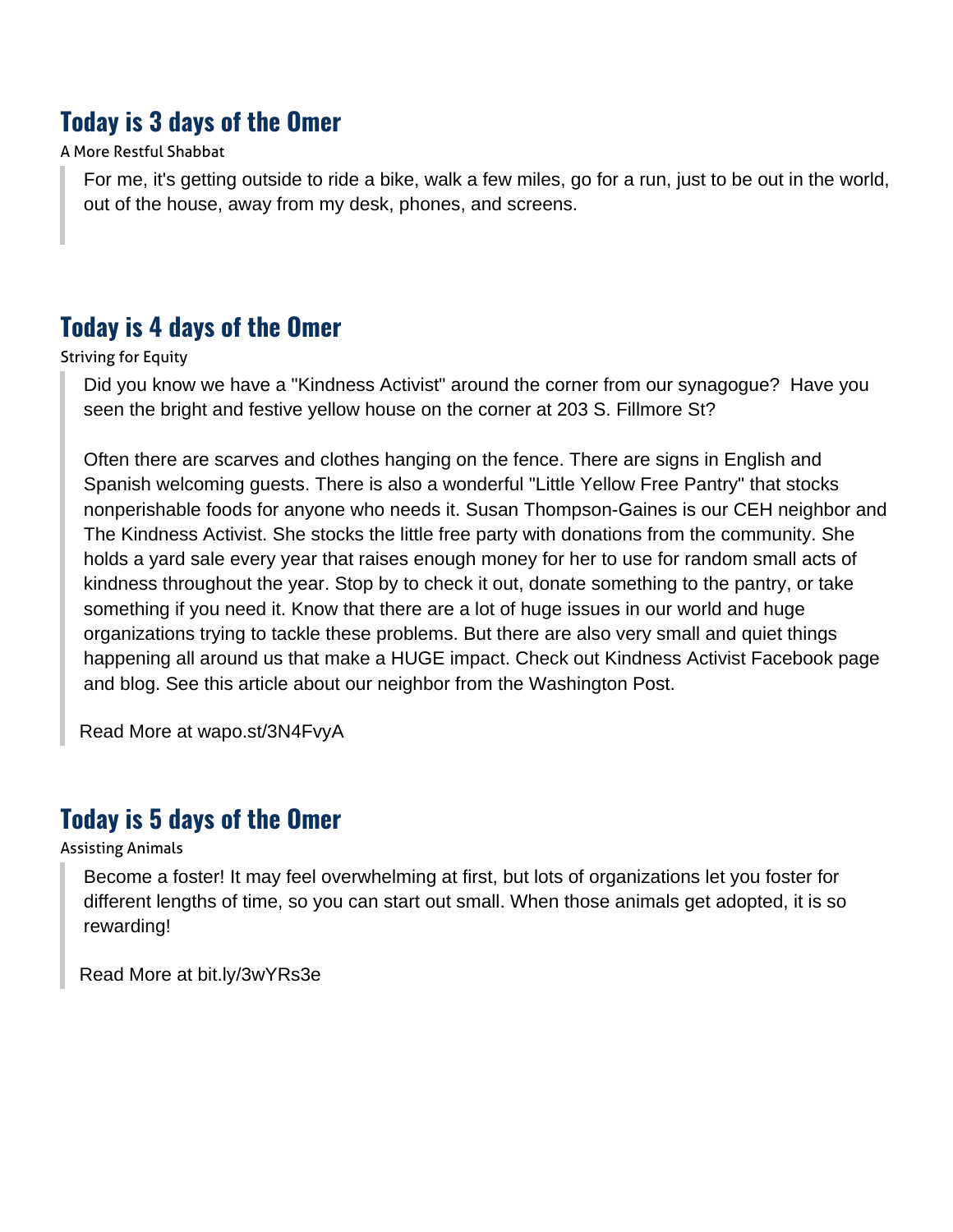## **Today is 3 days of the Omer**

#### A More Restful Shabbat

For me, it's getting outside to ride a bike, walk a few miles, go for a run, just to be out in the world, out of the house, away from my desk, phones, and screens.

#### **Today is 4 days of the Omer**

#### Striving for Equity

Did you know we have a "Kindness Activist" around the corner from our synagogue? Have you seen the bright and festive yellow house on the corner at 203 S. Fillmore St?

Often there are scarves and clothes hanging on the fence. There are signs in English and Spanish welcoming guests. There is also a wonderful "Little Yellow Free Pantry" that stocks nonperishable foods for anyone who needs it. Susan Thompson-Gaines is our CEH neighbor and The Kindness Activist. She stocks the little free party with donations from the community. She holds a yard sale every year that raises enough money for her to use for random small acts of kindness throughout the year. Stop by to check it out, donate something to the pantry, or take something if you need it. Know that there are a lot of huge issues in our world and huge organizations trying to tackle these problems. But there are also very small and quiet things happening all around us that make a HUGE impact. Check out Kindness Activist Facebook page and blog. See this article about our neighbor from the Washington Post.

[Read More at wapo.st/3N4FvyA](https://www.washingtonpost.com/local/yardsale-kindness-activist-virginia/2021/09/22/ab87a694-1bba-11ec-bcb8-0cb135811007_story.html)

#### **Today is 5 days of the Omer**

#### Assisting Animals

Become a foster! It may feel overwhelming at first, but lots of organizations let you foster for different lengths of time, so you can start out small. When those animals get adopted, it is so rewarding!

[Read More at bit.ly/3wYRs3e](https://www.awla.org/programs/foster/)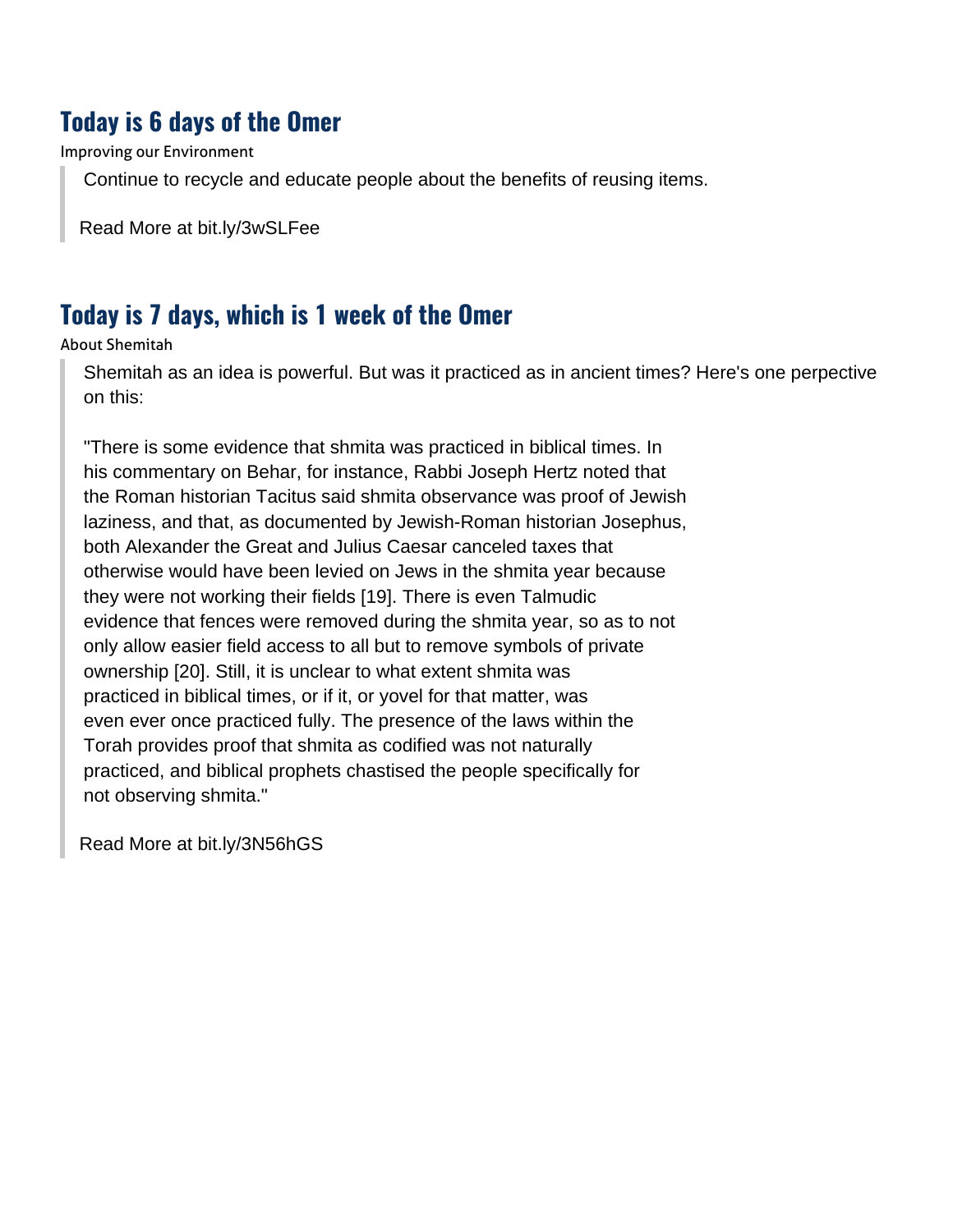#### **Today is 6 days of the Omer**

Improving our Environment

Continue to recycle and educate people about the benefits of reusing items.

[Read More at bit.ly/3wSLFee](https://www1.mwcog.org/dep/gorecycle/)

#### **Today is 7 days, which is 1 week of the Omer**

About Shemitah

Shemitah as an idea is powerful. But was it practiced as in ancient times? Here's one perpective on this:

"There is some evidence that shmita was practiced in biblical times. In his commentary on Behar, for instance, Rabbi Joseph Hertz noted that the Roman historian Tacitus said shmita observance was proof of Jewish laziness, and that, as documented by Jewish-Roman historian Josephus, both Alexander the Great and Julius Caesar canceled taxes that otherwise would have been levied on Jews in the shmita year because they were not working their fields [19]. There is even Talmudic evidence that fences were removed during the shmita year, so as to not only allow easier field access to all but to remove symbols of private ownership [20]. Still, it is unclear to what extent shmita was practiced in biblical times, or if it, or yovel for that matter, was even ever once practiced fully. The presence of the laws within the Torah provides proof that shmita as codified was not naturally practiced, and biblical prophets chastised the people specifically for not observing shmita."

[Read More at bit.ly/3N56hGS](https://www.mdpi.com/2077-1444/7/8/100/htm)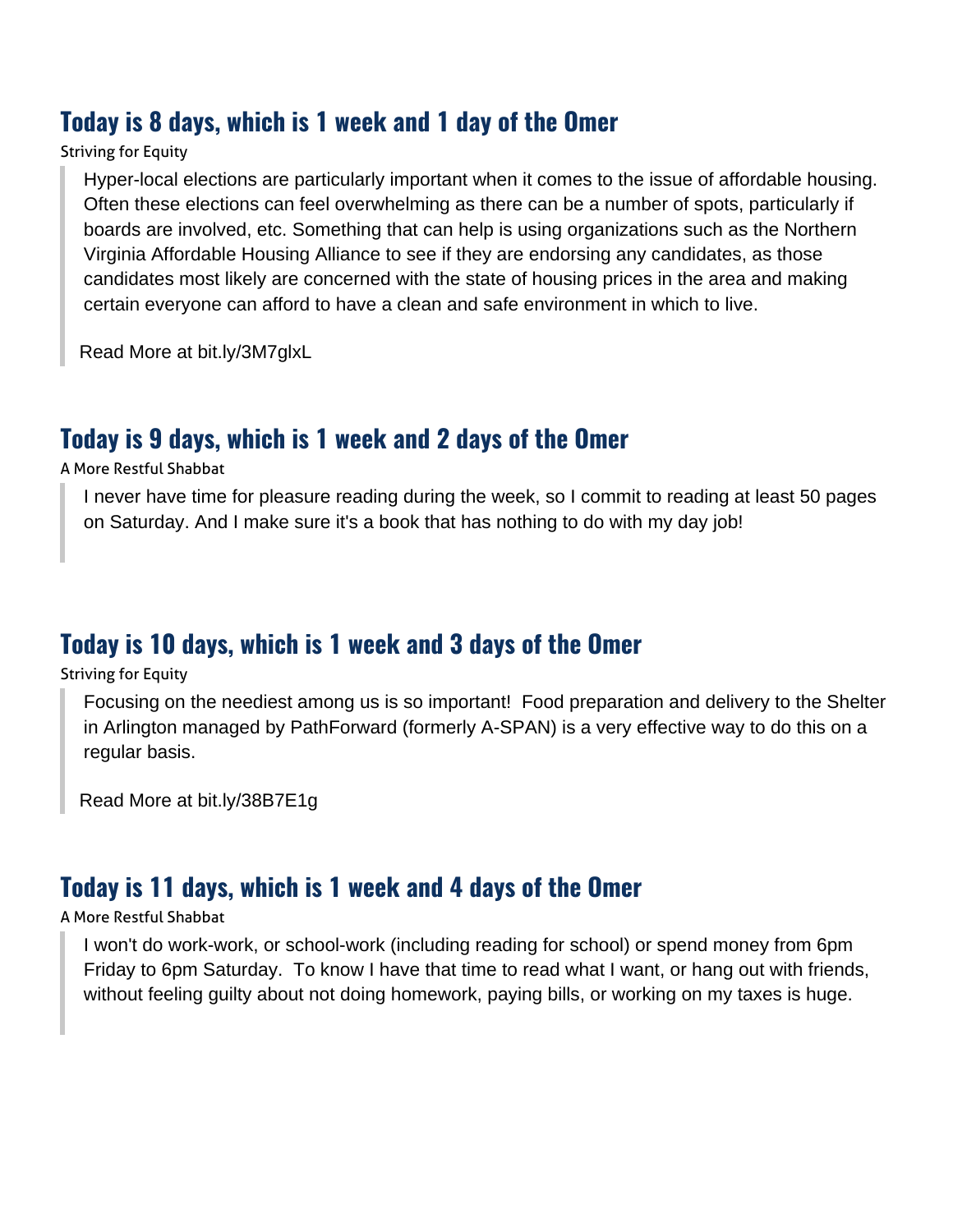#### **Today is 8 days, which is 1 week and 1 day of the Omer**

#### Striving for Equity

Hyper-local elections are particularly important when it comes to the issue of affordable housing. Often these elections can feel overwhelming as there can be a number of spots, particularly if boards are involved, etc. Something that can help is using organizations such as the Northern Virginia Affordable Housing Alliance to see if they are endorsing any candidates, as those candidates most likely are concerned with the state of housing prices in the area and making certain everyone can afford to have a clean and safe environment in which to live.

[Read More at bit.ly/3M7glxL](https://nvaha.org/)

#### **Today is 9 days, which is 1 week and 2 days of the Omer**

A More Restful Shabbat

I never have time for pleasure reading during the week, so I commit to reading at least 50 pages on Saturday. And I make sure it's a book that has nothing to do with my day job!

#### **Today is 10 days, which is 1 week and 3 days of the Omer**

Striving for Equity

Focusing on the neediest among us is so important! Food preparation and delivery to the Shelter in Arlington managed by PathForward (formerly A-SPAN) is a very effective way to do this on a regular basis.

[Read More at bit.ly/38B7E1g](https://pathforwardva.org/)

#### **Today is 11 days, which is 1 week and 4 days of the Omer**

#### A More Restful Shabbat

I won't do work-work, or school-work (including reading for school) or spend money from 6pm Friday to 6pm Saturday. To know I have that time to read what I want, or hang out with friends, without feeling guilty about not doing homework, paying bills, or working on my taxes is huge.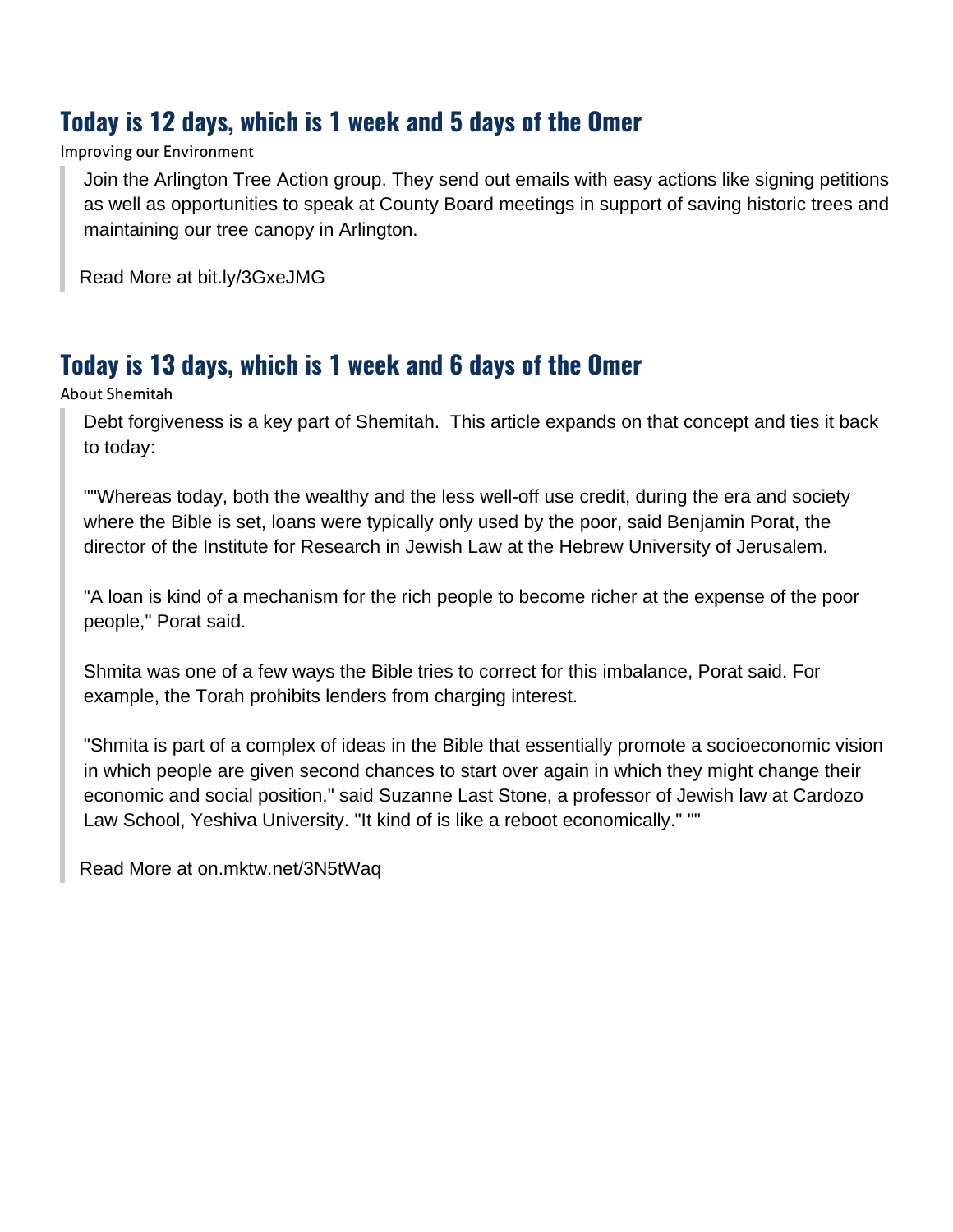## **Today is 12 days, which is 1 week and 5 days of the Omer**

Improving our Environment

Join the Arlington Tree Action group. They send out emails with easy actions like signing petitions as well as opportunities to speak at County Board meetings in support of saving historic trees and maintaining our tree canopy in Arlington.

[Read More at bit.ly/3GxeJMG](https://www.arlingtontreeactiongroup.org/)

## **Today is 13 days, which is 1 week and 6 days of the Omer**

About Shemitah

Debt forgiveness is a key part of Shemitah. This article expands on that concept and ties it back to today:

""Whereas today, both the wealthy and the less well-off use credit, during the era and society where the Bible is set, loans were typically only used by the poor, said Benjamin Porat, the director of the Institute for Research in Jewish Law at the Hebrew University of Jerusalem.

"A loan is kind of a mechanism for the rich people to become richer at the expense of the poor people," Porat said.

Shmita was one of a few ways the Bible tries to correct for this imbalance, Porat said. For example, the Torah prohibits lenders from charging interest.

"Shmita is part of a complex of ideas in the Bible that essentially promote a socioeconomic vision in which people are given second chances to start over again in which they might change their economic and social position," said Suzanne Last Stone, a professor of Jewish law at Cardozo Law School, Yeshiva University. "It kind of is like a reboot economically." ""

[Read More at on.mktw.net/3N5tWaq](https://www.marketwatch.com/story/a-yom-kippur-reminder-the-idea-of-debt-forgiveness-dates-at-least-as-far-back-as-the-bible-11631729059)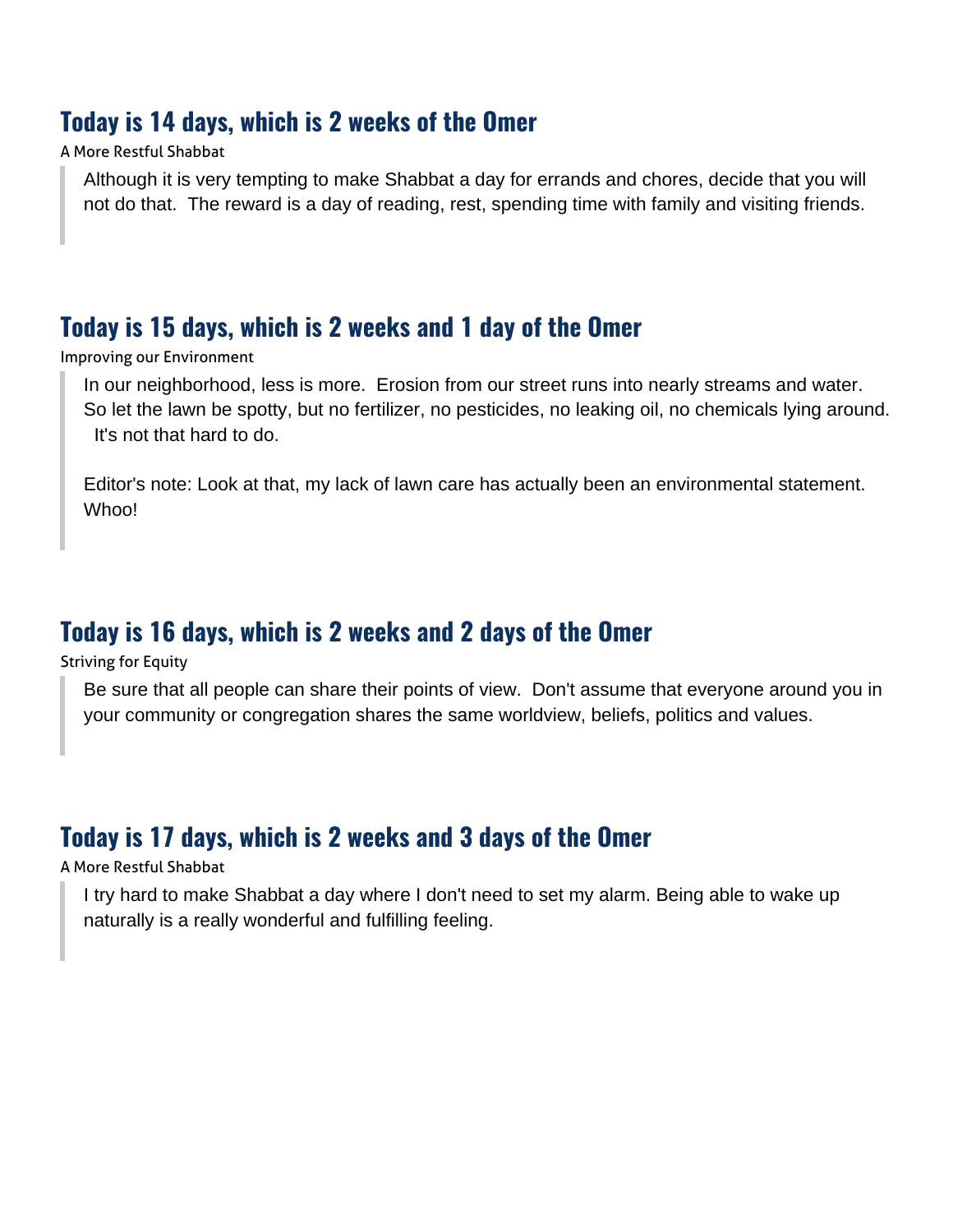#### **Today is 14 days, which is 2 weeks of the Omer**

#### A More Restful Shabbat

Although it is very tempting to make Shabbat a day for errands and chores, decide that you will not do that. The reward is a day of reading, rest, spending time with family and visiting friends.

#### **Today is 15 days, which is 2 weeks and 1 day of the Omer**

Improving our Environment

In our neighborhood, less is more. Erosion from our street runs into nearly streams and water. So let the lawn be spotty, but no fertilizer, no pesticides, no leaking oil, no chemicals lying around. It's not that hard to do.

Editor's note: Look at that, my lack of lawn care has actually been an environmental statement. Whoo!

#### **Today is 16 days, which is 2 weeks and 2 days of the Omer**

Striving for Equity

Be sure that all people can share their points of view. Don't assume that everyone around you in your community or congregation shares the same worldview, beliefs, politics and values.

## **Today is 17 days, which is 2 weeks and 3 days of the Omer**

#### A More Restful Shabbat

I try hard to make Shabbat a day where I don't need to set my alarm. Being able to wake up naturally is a really wonderful and fulfilling feeling.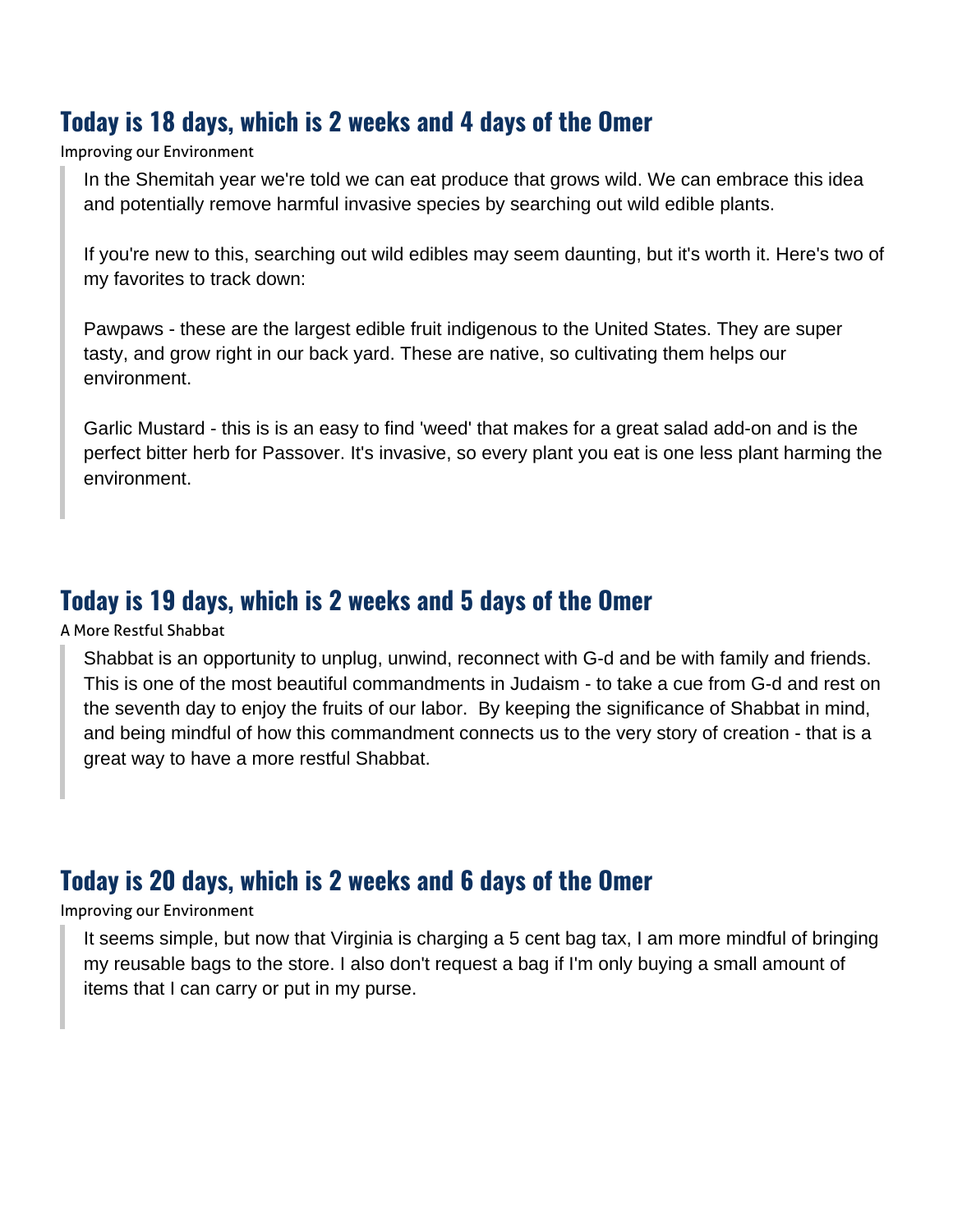#### **Today is 18 days, which is 2 weeks and 4 days of the Omer**

Improving our Environment

In the Shemitah year we're told we can eat produce that grows wild. We can embrace this idea and potentially remove harmful invasive species by searching out wild edible plants.

If you're new to this, searching out wild edibles may seem daunting, but it's worth it. Here's two of my favorites to track down:

Pawpaws - these are the largest edible fruit indigenous to the United States. They are super tasty, and grow right in our back yard. These are native, so cultivating them helps our environment.

Garlic Mustard - this is is an easy to find 'weed' that makes for a great salad add-on and is the perfect bitter herb for Passover. It's invasive, so every plant you eat is one less plant harming the environment.

#### **Today is 19 days, which is 2 weeks and 5 days of the Omer**

A More Restful Shabbat

Shabbat is an opportunity to unplug, unwind, reconnect with G-d and be with family and friends. This is one of the most beautiful commandments in Judaism - to take a cue from G-d and rest on the seventh day to enjoy the fruits of our labor. By keeping the significance of Shabbat in mind, and being mindful of how this commandment connects us to the very story of creation - that is a great way to have a more restful Shabbat.

#### **Today is 20 days, which is 2 weeks and 6 days of the Omer**

Improving our Environment

It seems simple, but now that Virginia is charging a 5 cent bag tax, I am more mindful of bringing my reusable bags to the store. I also don't request a bag if I'm only buying a small amount of items that I can carry or put in my purse.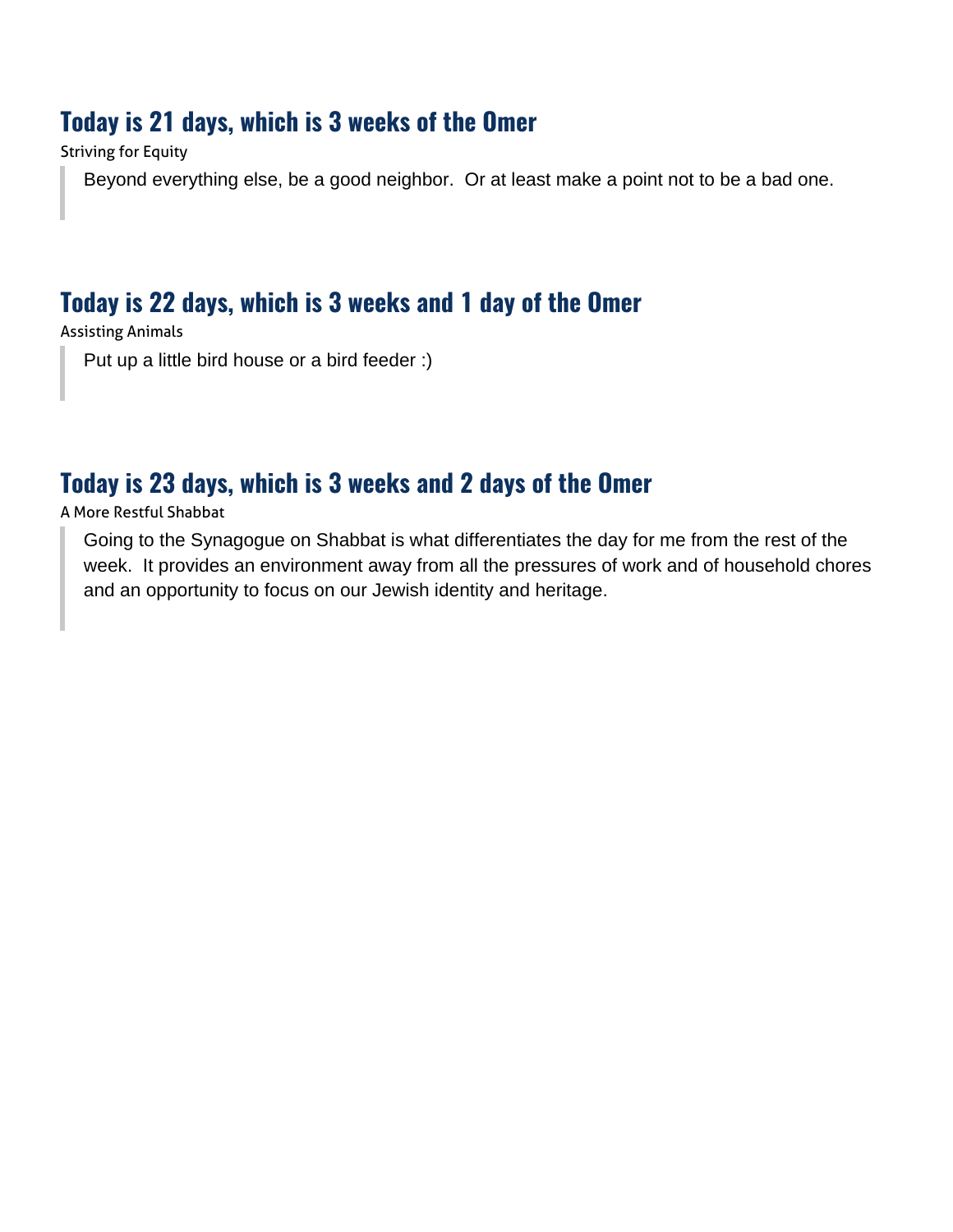#### **Today is 21 days, which is 3 weeks of the Omer**

Striving for Equity

Beyond everything else, be a good neighbor. Or at least make a point not to be a bad one.

## **Today is 22 days, which is 3 weeks and 1 day of the Omer**

Assisting Animals

Put up a little bird house or a bird feeder :)

## **Today is 23 days, which is 3 weeks and 2 days of the Omer**

A More Restful Shabbat

Going to the Synagogue on Shabbat is what differentiates the day for me from the rest of the week. It provides an environment away from all the pressures of work and of household chores and an opportunity to focus on our Jewish identity and heritage.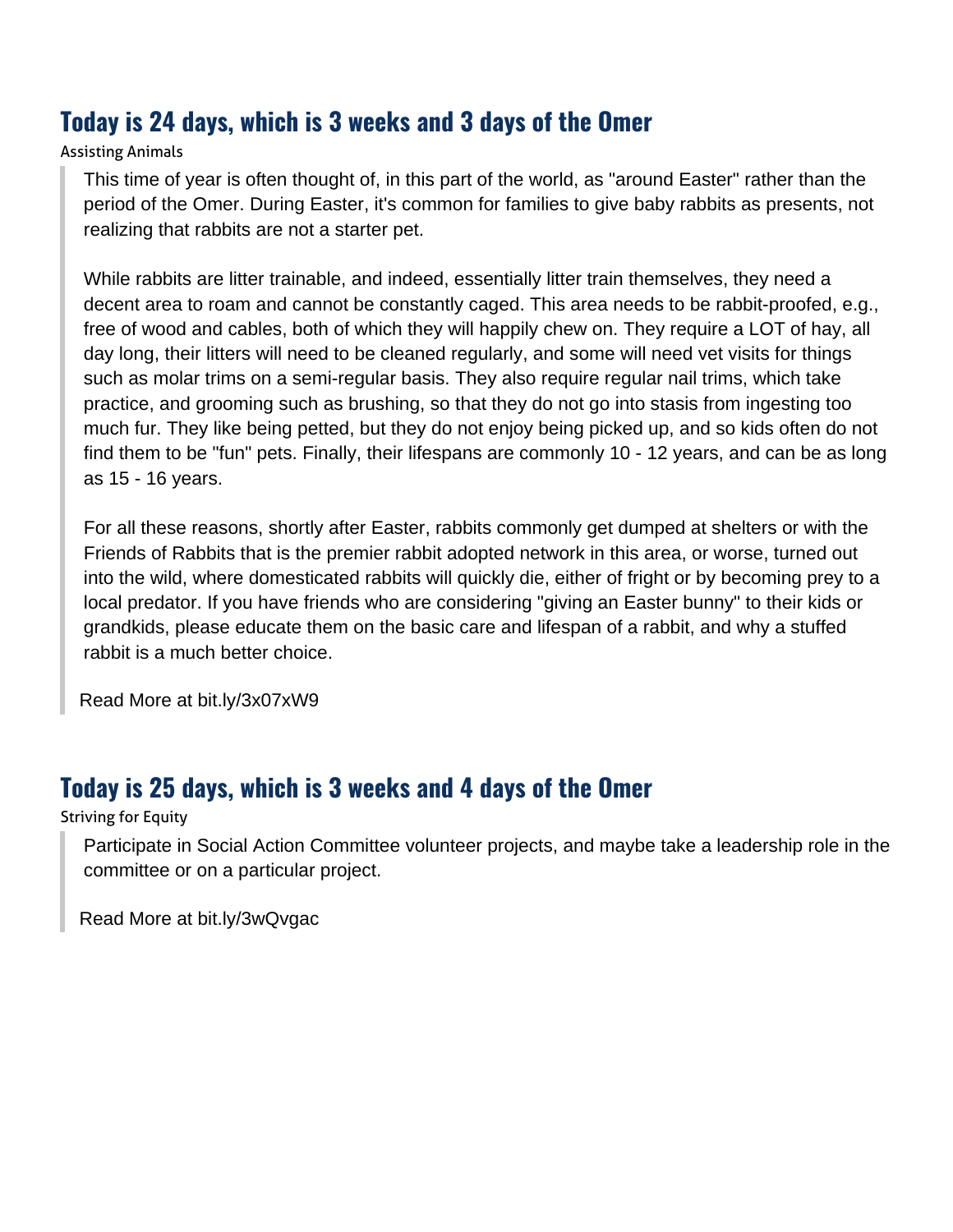## **Today is 24 days, which is 3 weeks and 3 days of the Omer**

#### Assisting Animals

This time of year is often thought of, in this part of the world, as "around Easter" rather than the period of the Omer. During Easter, it's common for families to give baby rabbits as presents, not realizing that rabbits are not a starter pet.

While rabbits are litter trainable, and indeed, essentially litter train themselves, they need a decent area to roam and cannot be constantly caged. This area needs to be rabbit-proofed, e.g., free of wood and cables, both of which they will happily chew on. They require a LOT of hay, all day long, their litters will need to be cleaned regularly, and some will need vet visits for things such as molar trims on a semi-regular basis. They also require regular nail trims, which take practice, and grooming such as brushing, so that they do not go into stasis from ingesting too much fur. They like being petted, but they do not enjoy being picked up, and so kids often do not find them to be "fun" pets. Finally, their lifespans are commonly 10 - 12 years, and can be as long as 15 - 16 years.

For all these reasons, shortly after Easter, rabbits commonly get dumped at shelters or with the Friends of Rabbits that is the premier rabbit adopted network in this area, or worse, turned out into the wild, where domesticated rabbits will quickly die, either of fright or by becoming prey to a local predator. If you have friends who are considering "giving an Easter bunny" to their kids or grandkids, please educate them on the basic care and lifespan of a rabbit, and why a stuffed rabbit is a much better choice.

[Read More at bit.ly/3x07xW9](https://www.friendsofrabbits.org/)

## **Today is 25 days, which is 3 weeks and 4 days of the Omer**

#### Striving for Equity

Participate in Social Action Committee volunteer projects, and maybe take a leadership role in the committee or on a particular project.

[Read More at bit.ly/3wQvgac](https://www.etzhayim.net/social-action/)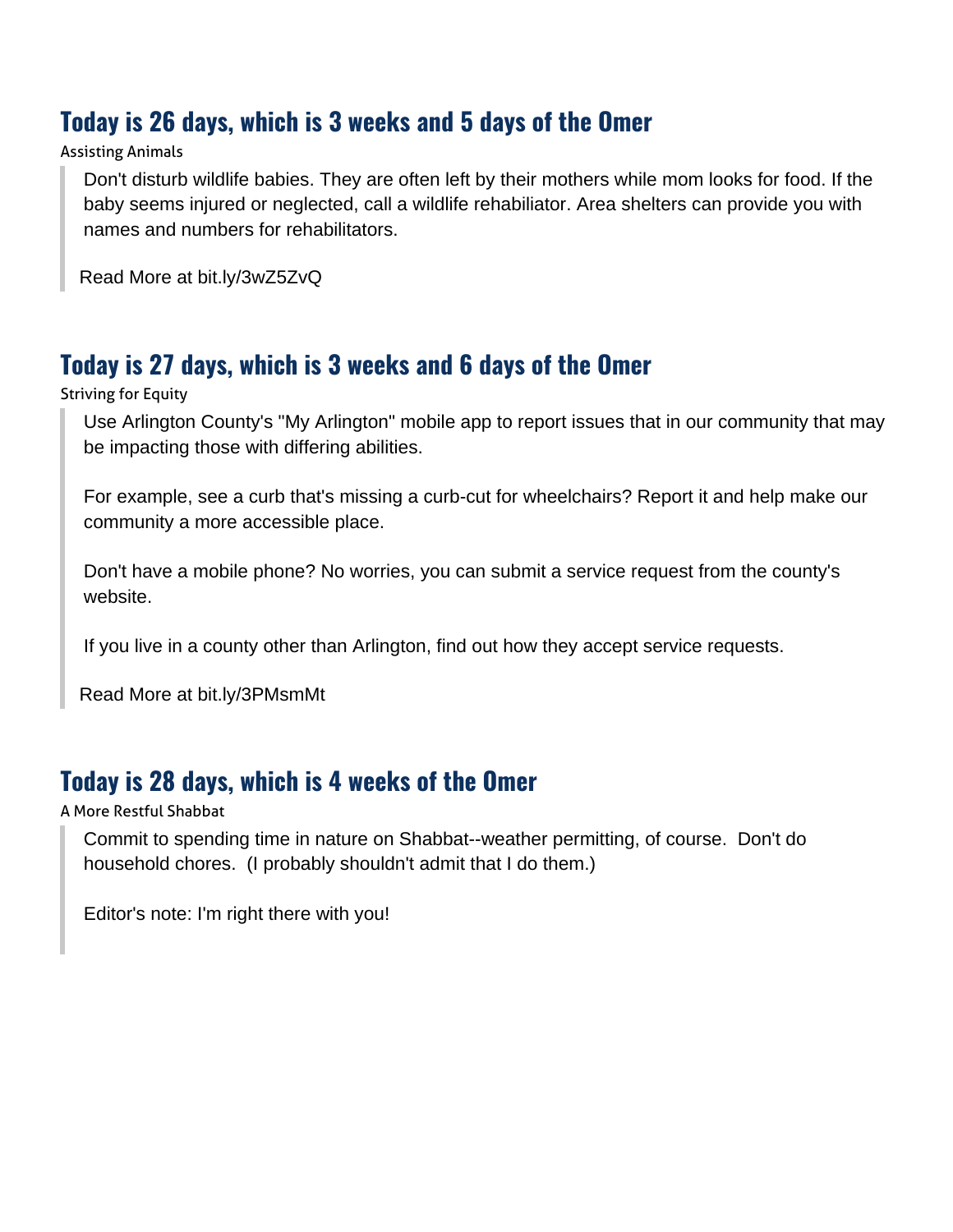## **Today is 26 days, which is 3 weeks and 5 days of the Omer**

#### Assisting Animals

Don't disturb wildlife babies. They are often left by their mothers while mom looks for food. If the baby seems injured or neglected, call a wildlife rehabiliator. Area shelters can provide you with names and numbers for rehabilitators.

[Read More at bit.ly/3wZ5ZvQ](https://dwr.virginia.gov/wildlife/injured/)

## **Today is 27 days, which is 3 weeks and 6 days of the Omer**

Striving for Equity

Use Arlington County's "My Arlington" mobile app to report issues that in our community that may be impacting those with differing abilities.

For example, see a curb that's missing a curb-cut for wheelchairs? Report it and help make our community a more accessible place.

Don't have a mobile phone? No worries, you can submit a service request from the county's website.

If you live in a county other than Arlington, find out how they accept service requests.

[Read More at bit.ly/3PMsmMt](https://www.arlingtonva.us/Government/Topics/Report-Problem)

## **Today is 28 days, which is 4 weeks of the Omer**

A More Restful Shabbat

Commit to spending time in nature on Shabbat--weather permitting, of course. Don't do household chores. (I probably shouldn't admit that I do them.)

Editor's note: I'm right there with you!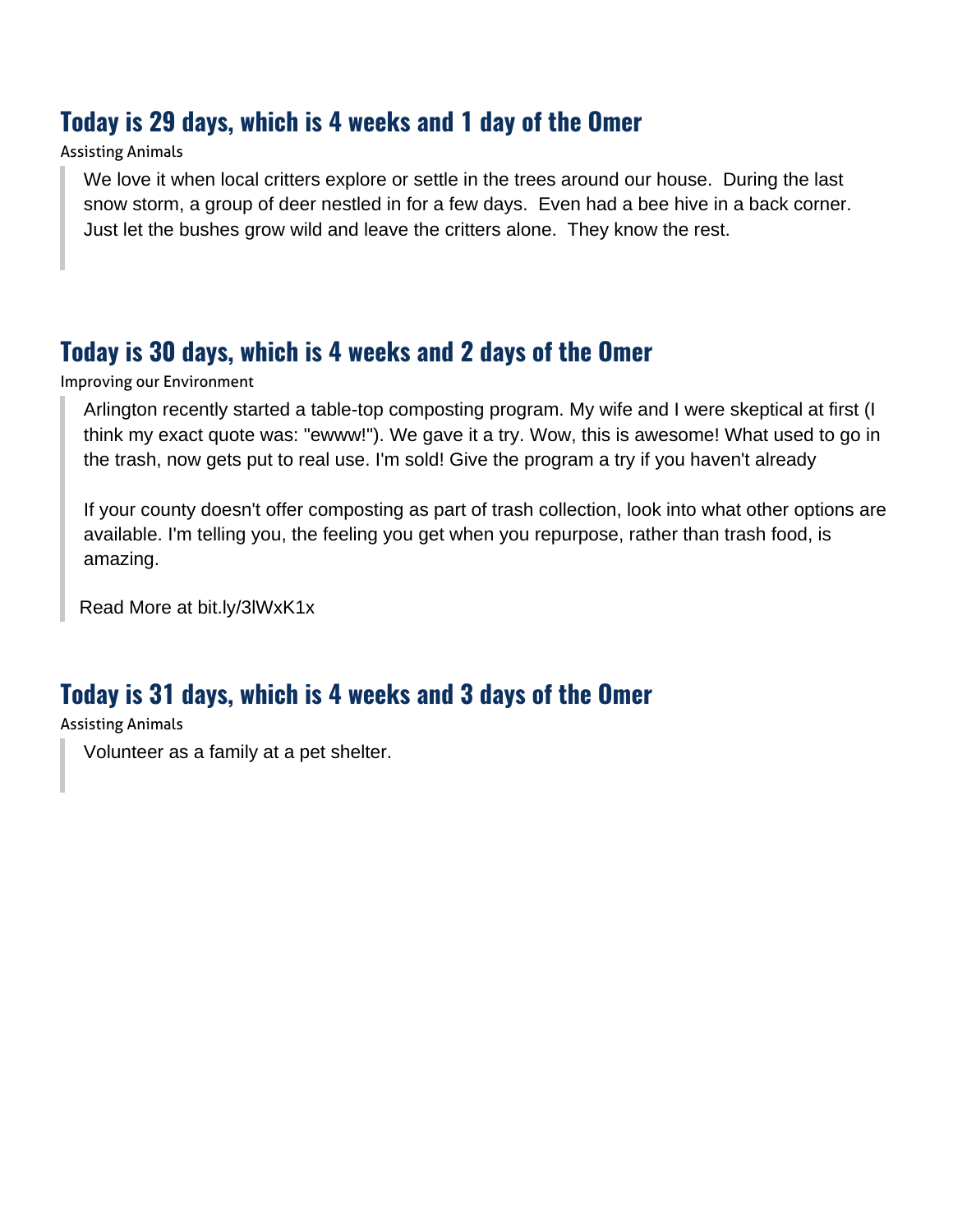#### **Today is 29 days, which is 4 weeks and 1 day of the Omer**

#### Assisting Animals

We love it when local critters explore or settle in the trees around our house. During the last snow storm, a group of deer nestled in for a few days. Even had a bee hive in a back corner. Just let the bushes grow wild and leave the critters alone. They know the rest.

## **Today is 30 days, which is 4 weeks and 2 days of the Omer**

Improving our Environment

Arlington recently started a table-top composting program. My wife and I were skeptical at first (I think my exact quote was: "ewww!"). We gave it a try. Wow, this is awesome! What used to go in the trash, now gets put to real use. I'm sold! Give the program a try if you haven't already

If your county doesn't offer composting as part of trash collection, look into what other options are available. I'm telling you, the feeling you get when you repurpose, rather than trash food, is amazing.

[Read More at bit.ly/3lWxK1x](https://www.arlingtonva.us/Government/Programs/Recycling-and-Trash/Residential/Organics-Waste/Food-Scraps-Collection)

#### **Today is 31 days, which is 4 weeks and 3 days of the Omer**

Assisting Animals

Volunteer as a family at a pet shelter.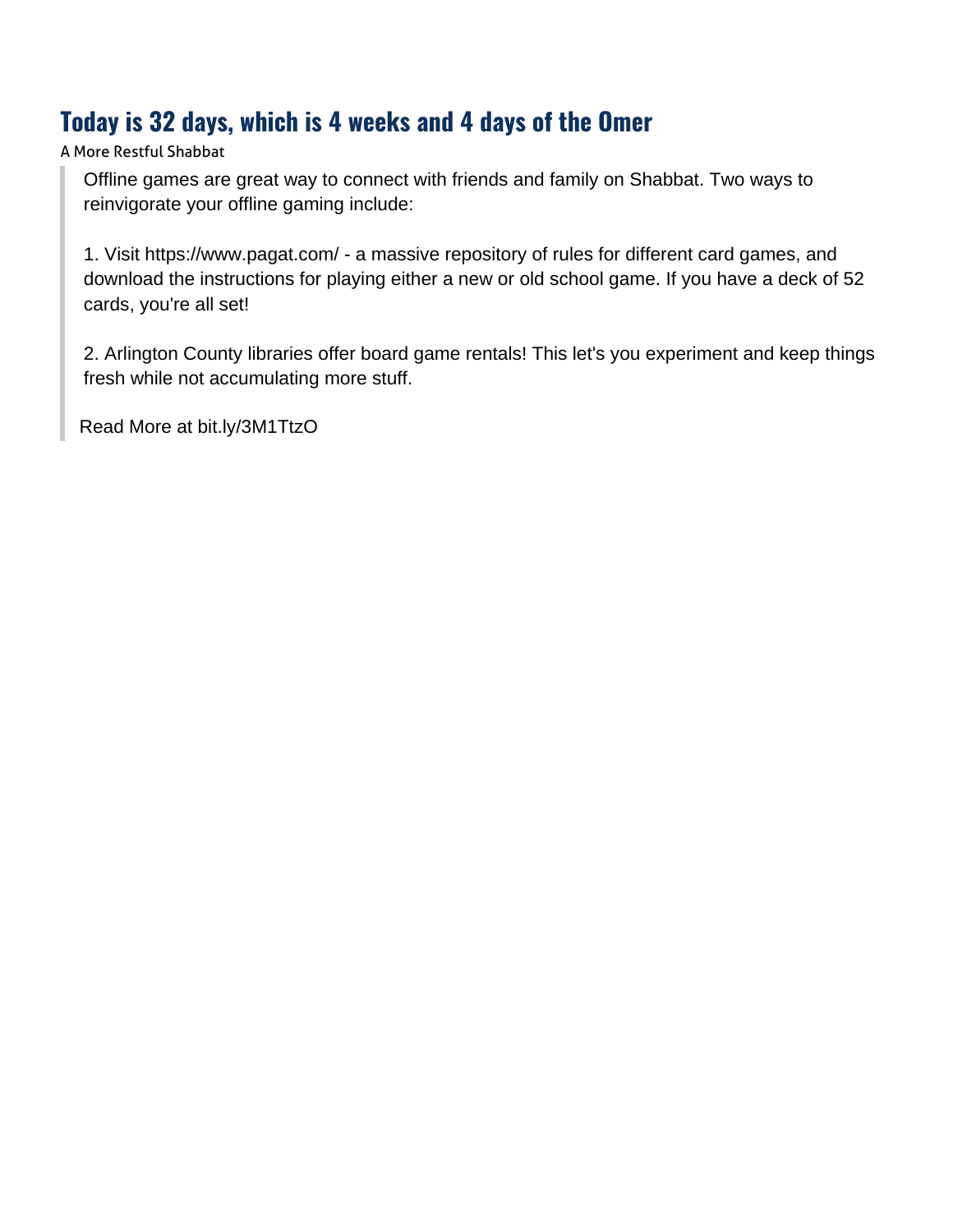## **Today is 32 days, which is 4 weeks and 4 days of the Omer**

A More Restful Shabbat

Offline games are great way to connect with friends and family on Shabbat. Two ways to reinvigorate your offline gaming include:

1. Visit https://www.pagat.com/ - a massive repository of rules for different card games, and download the instructions for playing either a new or old school game. If you have a deck of 52 cards, you're all set!

2. Arlington County libraries offer board game rentals! This let's you experiment and keep things fresh while not accumulating more stuff.

[Read More at bit.ly/3M1TtzO](https://library.arlingtonva.us/explore/for-game-lovers/)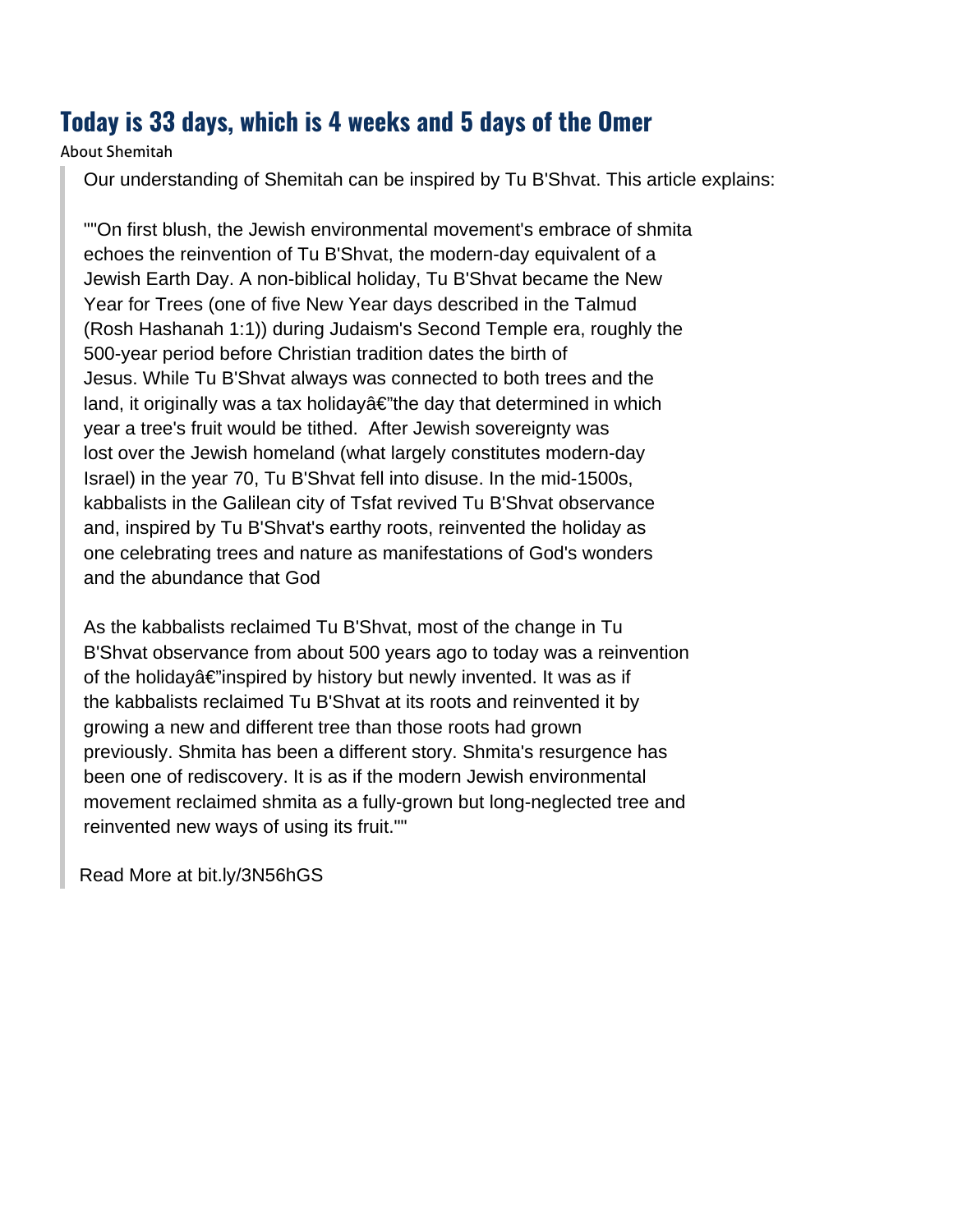#### **Today is 33 days, which is 4 weeks and 5 days of the Omer**

About Shemitah

Our understanding of Shemitah can be inspired by Tu B'Shvat. This article explains:

""On first blush, the Jewish environmental movement's embrace of shmita echoes the reinvention of Tu B'Shvat, the modern-day equivalent of a Jewish Earth Day. A non-biblical holiday, Tu B'Shvat became the New Year for Trees (one of five New Year days described in the Talmud (Rosh Hashanah 1:1)) during Judaism's Second Temple era, roughly the 500-year period before Christian tradition dates the birth of Jesus. While Tu B'Shvat always was connected to both trees and the land, it originally was a tax holiday $\hat{a} \in \hat{a}$  the day that determined in which year a tree's fruit would be tithed. After Jewish sovereignty was lost over the Jewish homeland (what largely constitutes modern-day Israel) in the year 70, Tu B'Shvat fell into disuse. In the mid-1500s, kabbalists in the Galilean city of Tsfat revived Tu B'Shvat observance and, inspired by Tu B'Shvat's earthy roots, reinvented the holiday as one celebrating trees and nature as manifestations of God's wonders and the abundance that God

As the kabbalists reclaimed Tu B'Shvat, most of the change in Tu B'Shvat observance from about 500 years ago to today was a reinvention of the holiday $\hat{a} \in \mathbb{C}^n$ inspired by history but newly invented. It was as if the kabbalists reclaimed Tu B'Shvat at its roots and reinvented it by growing a new and different tree than those roots had grown previously. Shmita has been a different story. Shmita's resurgence has been one of rediscovery. It is as if the modern Jewish environmental movement reclaimed shmita as a fully-grown but long-neglected tree and reinvented new ways of using its fruit.""

[Read More at bit.ly/3N56hGS](https://www.mdpi.com/2077-1444/7/8/100/htm)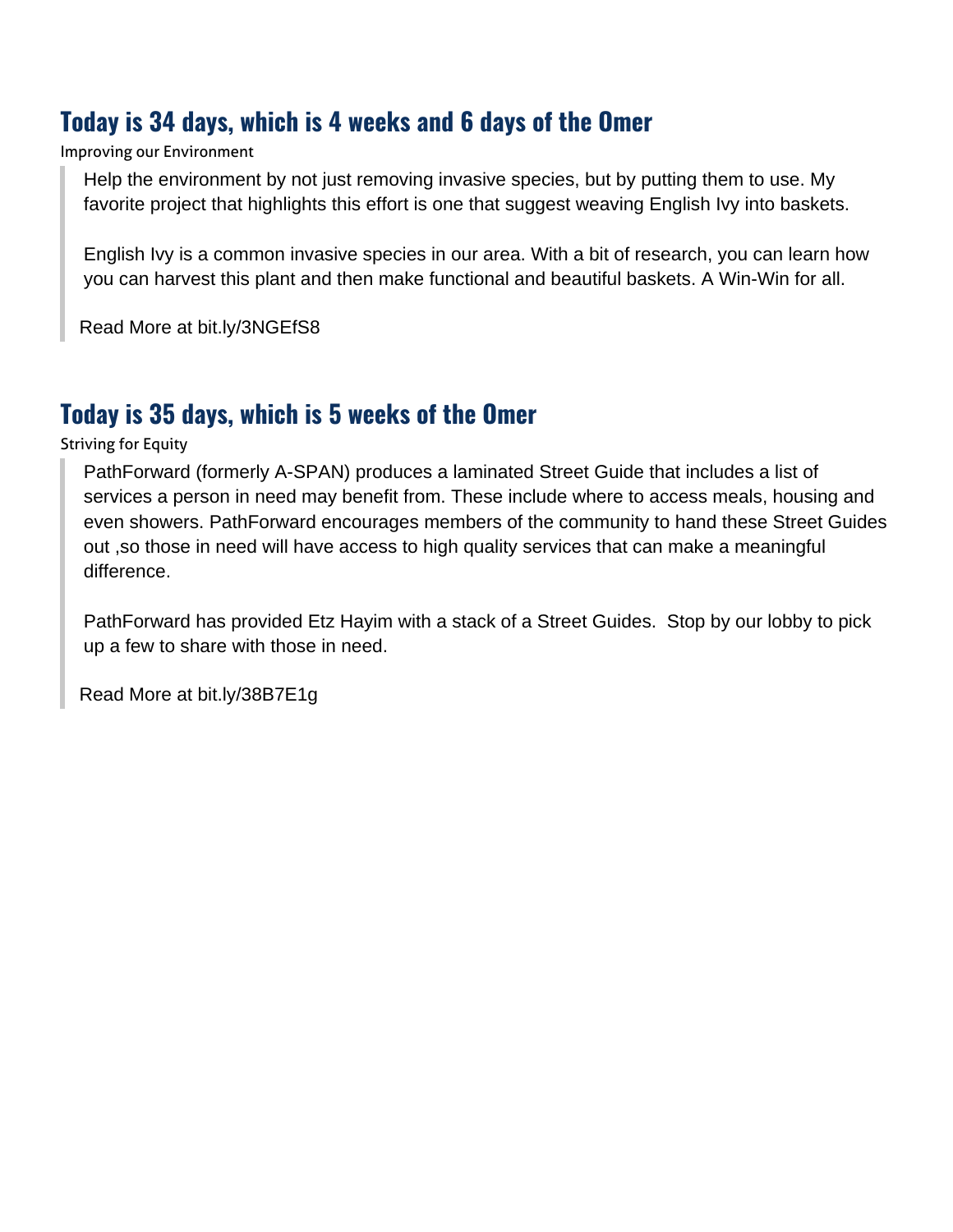## **Today is 34 days, which is 4 weeks and 6 days of the Omer**

Improving our Environment

Help the environment by not just removing invasive species, but by putting them to use. My favorite project that highlights this effort is one that suggest weaving English Ivy into baskets.

English Ivy is a common invasive species in our area. With a bit of research, you can learn how you can harvest this plant and then make functional and beautiful baskets. A Win-Win for all.

[Read More at bit.ly/3NGEfS8](https://www.oregonlive.com/hg/2016/03/invasive_english_ivy_basket_we.html)

## **Today is 35 days, which is 5 weeks of the Omer**

Striving for Equity

PathForward (formerly A-SPAN) produces a laminated Street Guide that includes a list of services a person in need may benefit from. These include where to access meals, housing and even showers. PathForward encourages members of the community to hand these Street Guides out ,so those in need will have access to high quality services that can make a meaningful difference.

PathForward has provided Etz Hayim with a stack of a Street Guides. Stop by our lobby to pick up a few to share with those in need.

[Read More at bit.ly/38B7E1g](https://pathforwardva.org/)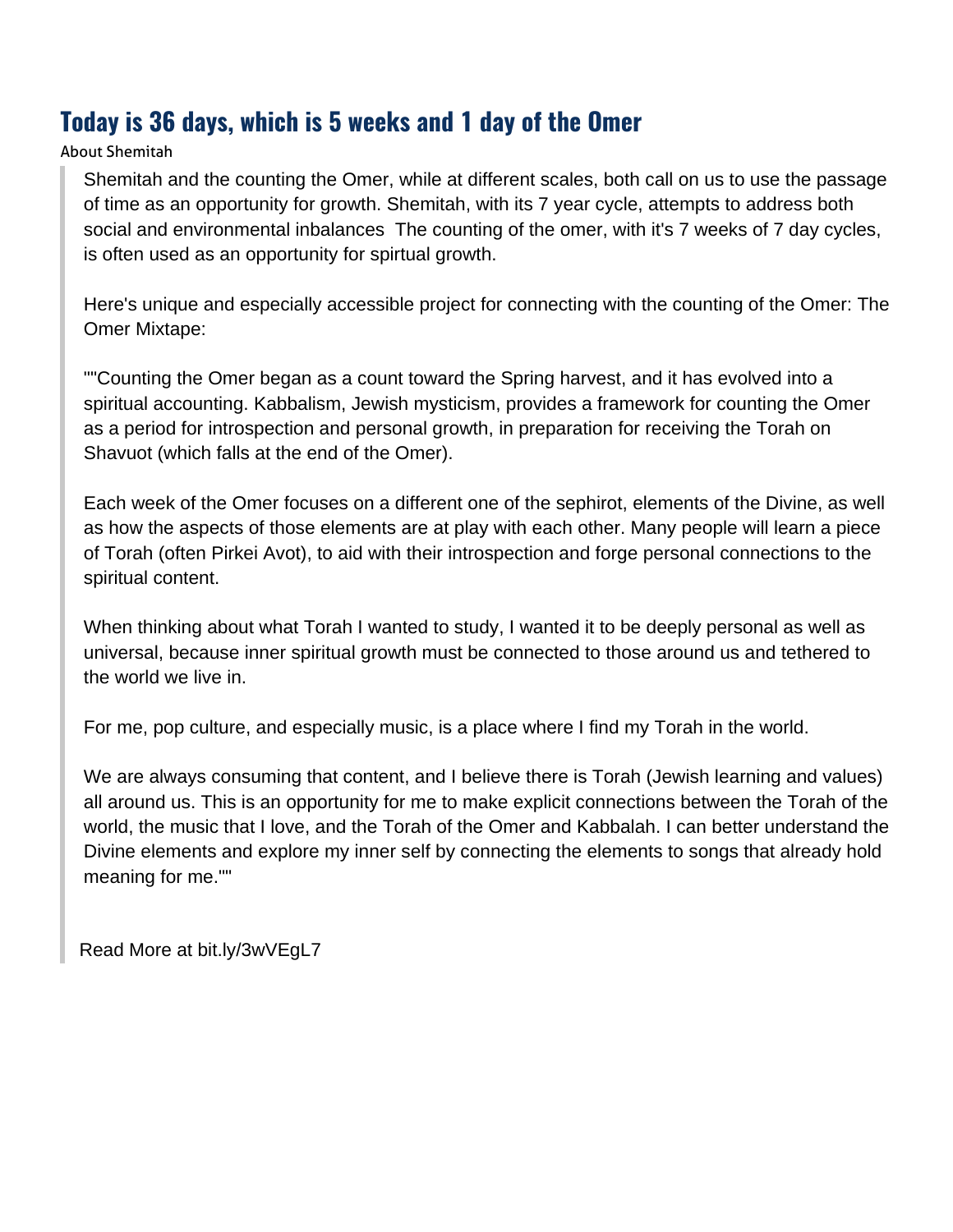## **Today is 36 days, which is 5 weeks and 1 day of the Omer**

#### About Shemitah

Shemitah and the counting the Omer, while at different scales, both call on us to use the passage of time as an opportunity for growth. Shemitah, with its 7 year cycle, attempts to address both social and environmental inbalances The counting of the omer, with it's 7 weeks of 7 day cycles, is often used as an opportunity for spirtual growth.

Here's unique and especially accessible project for connecting with the counting of the Omer: The Omer Mixtape:

""Counting the Omer began as a count toward the Spring harvest, and it has evolved into a spiritual accounting. Kabbalism, Jewish mysticism, provides a framework for counting the Omer as a period for introspection and personal growth, in preparation for receiving the Torah on Shavuot (which falls at the end of the Omer).

Each week of the Omer focuses on a different one of the sephirot, elements of the Divine, as well as how the aspects of those elements are at play with each other. Many people will learn a piece of Torah (often Pirkei Avot), to aid with their introspection and forge personal connections to the spiritual content.

When thinking about what Torah I wanted to study, I wanted it to be deeply personal as well as universal, because inner spiritual growth must be connected to those around us and tethered to the world we live in.

For me, pop culture, and especially music, is a place where I find my Torah in the world.

We are always consuming that content, and I believe there is Torah (Jewish learning and values) all around us. This is an opportunity for me to make explicit connections between the Torah of the world, the music that I love, and the Torah of the Omer and Kabbalah. I can better understand the Divine elements and explore my inner self by connecting the elements to songs that already hold meaning for me.""

[Read More at bit.ly/3wVEgL7](https://exploringjudaism.org/holidays/the-omer/weekly-omer-intentions/omer-mixtape-2022/)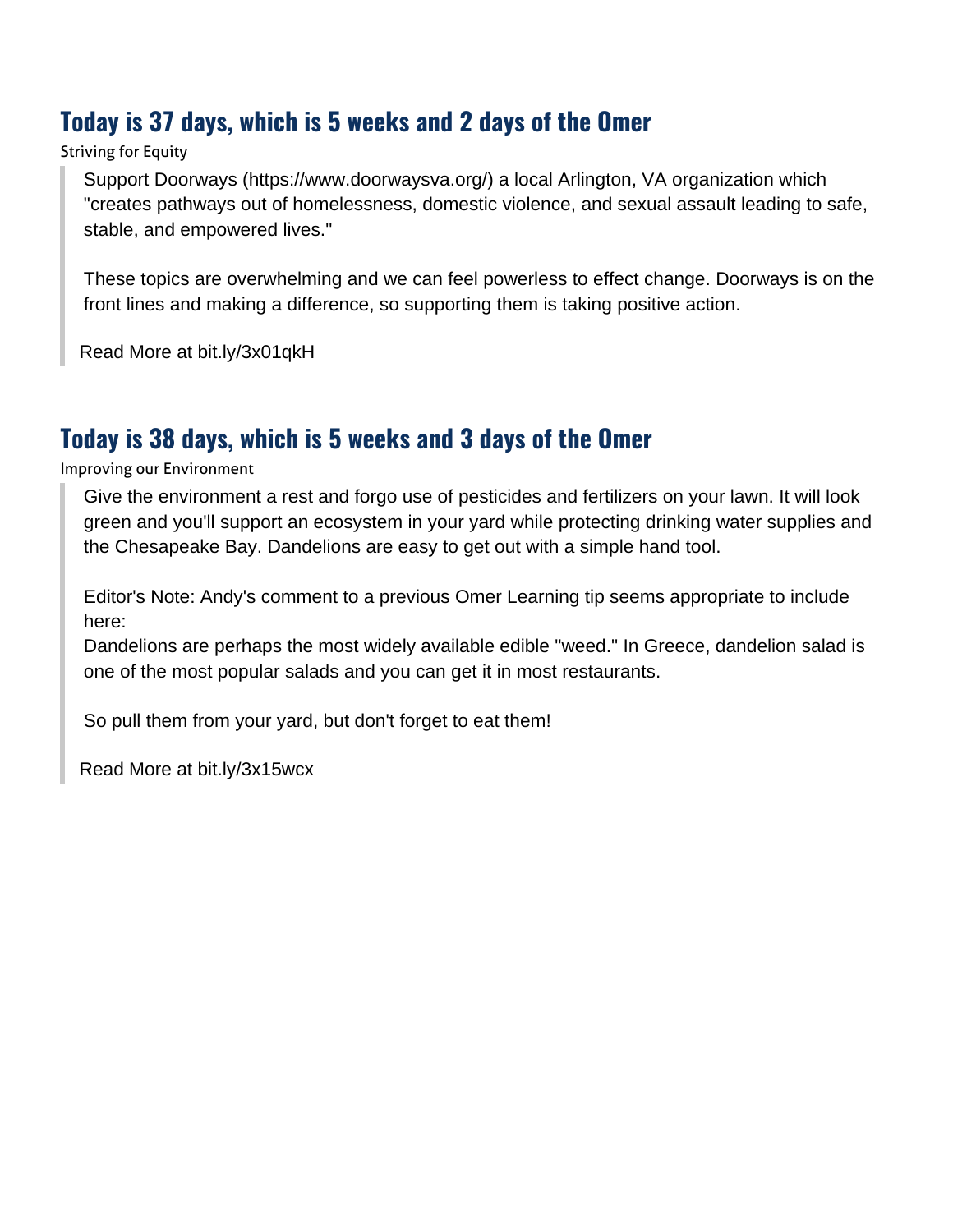## **Today is 37 days, which is 5 weeks and 2 days of the Omer**

#### Striving for Equity

Support Doorways (https://www.doorwaysva.org/) a local Arlington, VA organization which "creates pathways out of homelessness, domestic violence, and sexual assault leading to safe, stable, and empowered lives."

These topics are overwhelming and we can feel powerless to effect change. Doorways is on the front lines and making a difference, so supporting them is taking positive action.

[Read More at bit.ly/3x01qkH](https://www.doorwaysva.org/)

## **Today is 38 days, which is 5 weeks and 3 days of the Omer**

Improving our Environment

Give the environment a rest and forgo use of pesticides and fertilizers on your lawn. It will look green and you'll support an ecosystem in your yard while protecting drinking water supplies and the Chesapeake Bay. Dandelions are easy to get out with a simple hand tool.

Editor's Note: Andy's comment to a previous Omer Learning tip seems appropriate to include here:

Dandelions are perhaps the most widely available edible "weed." In Greece, dandelion salad is one of the most popular salads and you can get it in most restaurants.

So pull them from your yard, but don't forget to eat them!

[Read More at bit.ly/3x15wcx](https://www.canr.msu.edu/news/five_ways_to_eat_dandilions)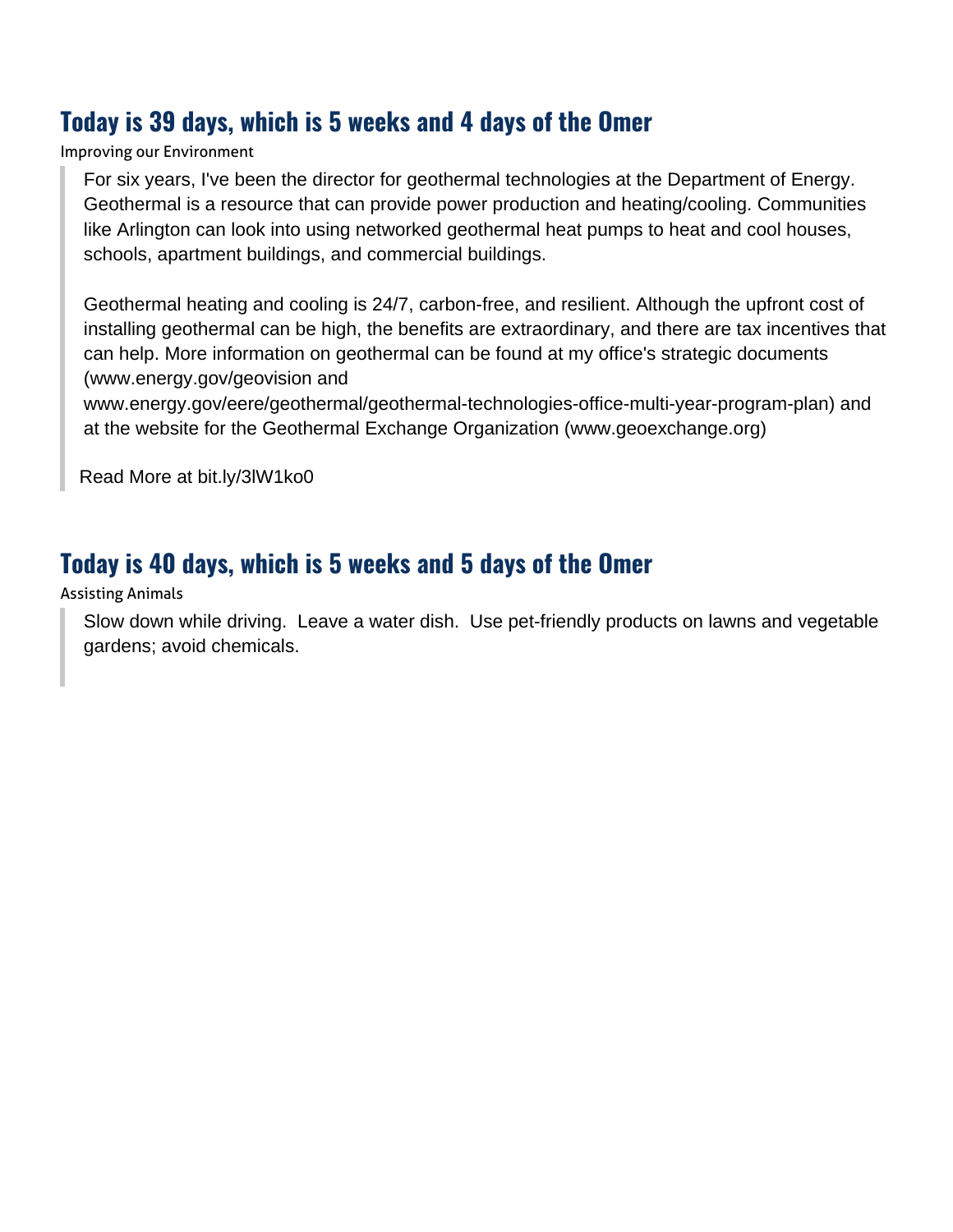## **Today is 39 days, which is 5 weeks and 4 days of the Omer**

Improving our Environment

For six years, I've been the director for geothermal technologies at the Department of Energy. Geothermal is a resource that can provide power production and heating/cooling. Communities like Arlington can look into using networked geothermal heat pumps to heat and cool houses, schools, apartment buildings, and commercial buildings.

Geothermal heating and cooling is 24/7, carbon-free, and resilient. Although the upfront cost of installing geothermal can be high, the benefits are extraordinary, and there are tax incentives that can help. More information on geothermal can be found at my office's strategic documents (www.energy.gov/geovision and

www.energy.gov/eere/geothermal/geothermal-technologies-office-multi-year-program-plan) and at the website for the Geothermal Exchange Organization (www.geoexchange.org)

[Read More at bit.ly/3lW1ko0](https://www.energy.gov/eere/geothermal/geothermal-technologies-office-multi-year-program-plan)

## **Today is 40 days, which is 5 weeks and 5 days of the Omer**

Assisting Animals

Slow down while driving. Leave a water dish. Use pet-friendly products on lawns and vegetable gardens; avoid chemicals.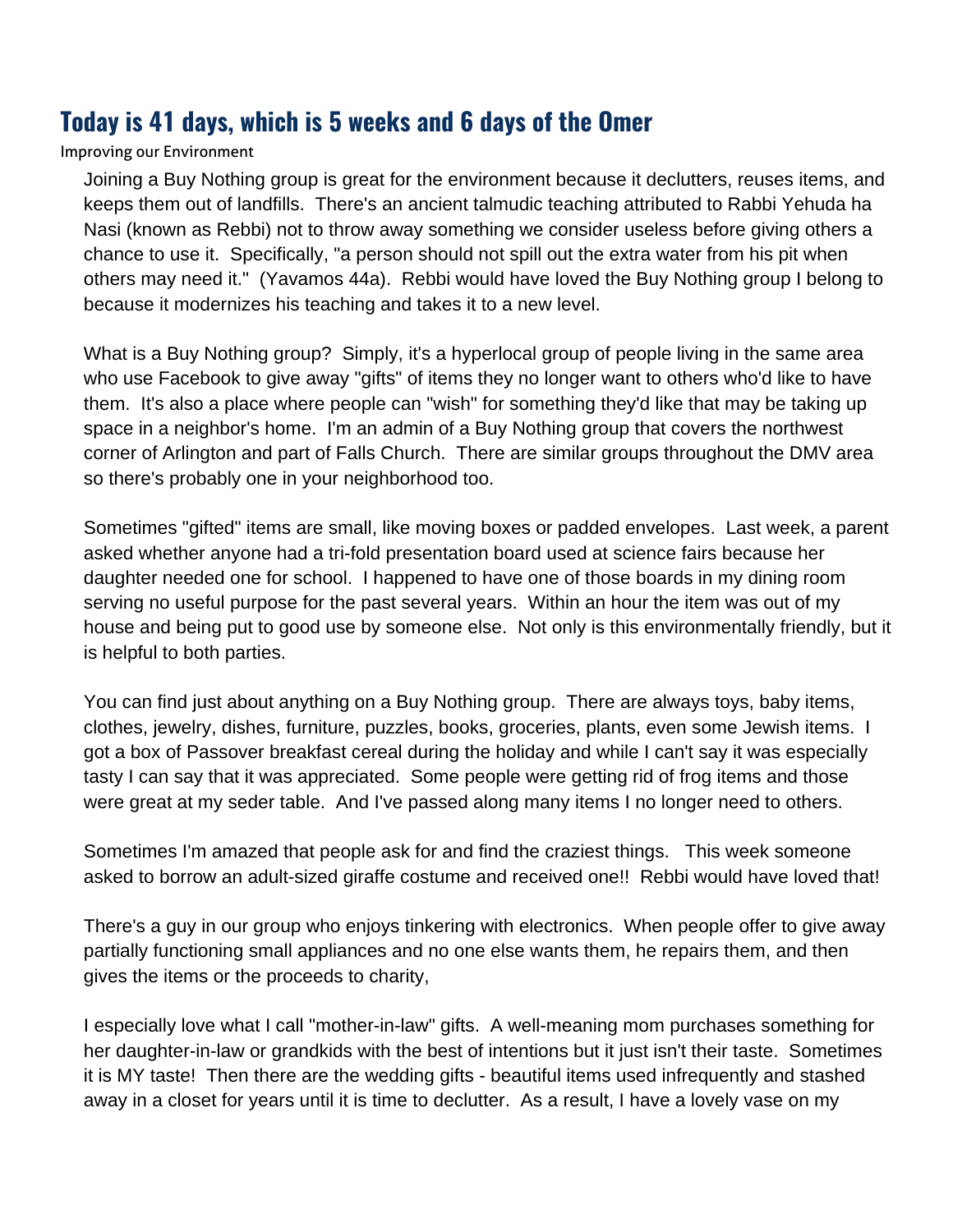## **Today is 41 days, which is 5 weeks and 6 days of the Omer**

#### Improving our Environment

Joining a Buy Nothing group is great for the environment because it declutters, reuses items, and keeps them out of landfills. There's an ancient talmudic teaching attributed to Rabbi Yehuda ha Nasi (known as Rebbi) not to throw away something we consider useless before giving others a chance to use it. Specifically, "a person should not spill out the extra water from his pit when others may need it." (Yavamos 44a). Rebbi would have loved the Buy Nothing group I belong to because it modernizes his teaching and takes it to a new level.

What is a Buy Nothing group? Simply, it's a hyperlocal group of people living in the same area who use Facebook to give away "gifts" of items they no longer want to others who'd like to have them. It's also a place where people can "wish" for something they'd like that may be taking up space in a neighbor's home. I'm an admin of a Buy Nothing group that covers the northwest corner of Arlington and part of Falls Church. There are similar groups throughout the DMV area so there's probably one in your neighborhood too.

Sometimes "gifted" items are small, like moving boxes or padded envelopes. Last week, a parent asked whether anyone had a tri-fold presentation board used at science fairs because her daughter needed one for school. I happened to have one of those boards in my dining room serving no useful purpose for the past several years. Within an hour the item was out of my house and being put to good use by someone else. Not only is this environmentally friendly, but it is helpful to both parties.

You can find just about anything on a Buy Nothing group. There are always toys, baby items, clothes, jewelry, dishes, furniture, puzzles, books, groceries, plants, even some Jewish items. I got a box of Passover breakfast cereal during the holiday and while I can't say it was especially tasty I can say that it was appreciated. Some people were getting rid of frog items and those were great at my seder table. And I've passed along many items I no longer need to others.

Sometimes I'm amazed that people ask for and find the craziest things. This week someone asked to borrow an adult-sized giraffe costume and received one!! Rebbi would have loved that!

There's a guy in our group who enjoys tinkering with electronics. When people offer to give away partially functioning small appliances and no one else wants them, he repairs them, and then gives the items or the proceeds to charity,

I especially love what I call "mother-in-law" gifts. A well-meaning mom purchases something for her daughter-in-law or grandkids with the best of intentions but it just isn't their taste. Sometimes it is MY taste! Then there are the wedding gifts - beautiful items used infrequently and stashed away in a closet for years until it is time to declutter. As a result, I have a lovely vase on my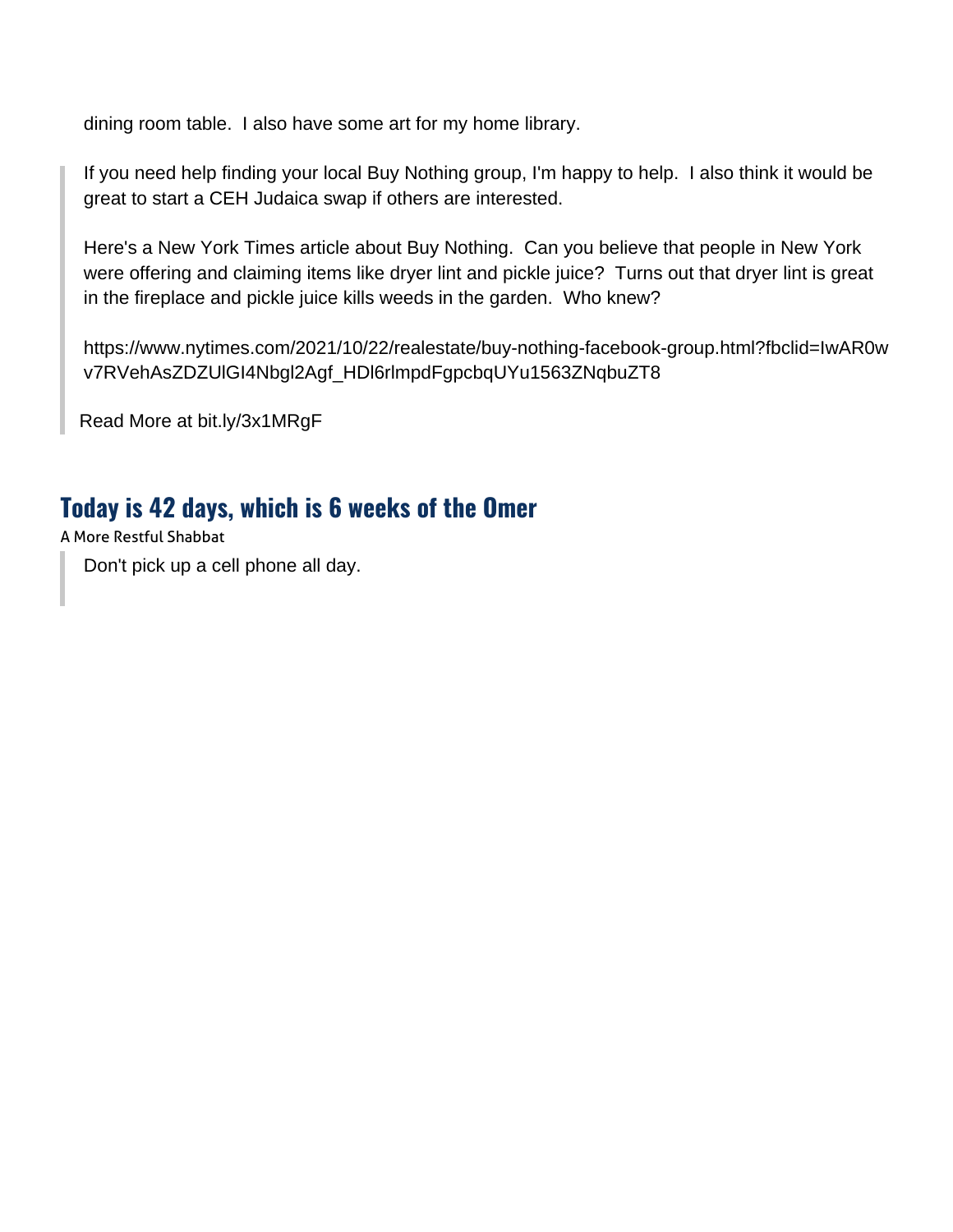dining room table. I also have some art for my home library.

If you need help finding your local Buy Nothing group, I'm happy to help. I also think it would be great to start a CEH Judaica swap if others are interested.

Here's a New York Times article about Buy Nothing. Can you believe that people in New York were offering and claiming items like dryer lint and pickle juice? Turns out that dryer lint is great in the fireplace and pickle juice kills weeds in the garden. Who knew?

https://www.nytimes.com/2021/10/22/realestate/buy-nothing-facebook-group.html?fbclid=IwAR0w v7RVehAsZDZUlGI4Nbgl2Agf\_HDl6rlmpdFgpcbqUYu1563ZNqbuZT8

[Read More at bit.ly/3x1MRgF](https://buynothingproject.org/)

## **Today is 42 days, which is 6 weeks of the Omer**

A More Restful Shabbat

Don't pick up a cell phone all day.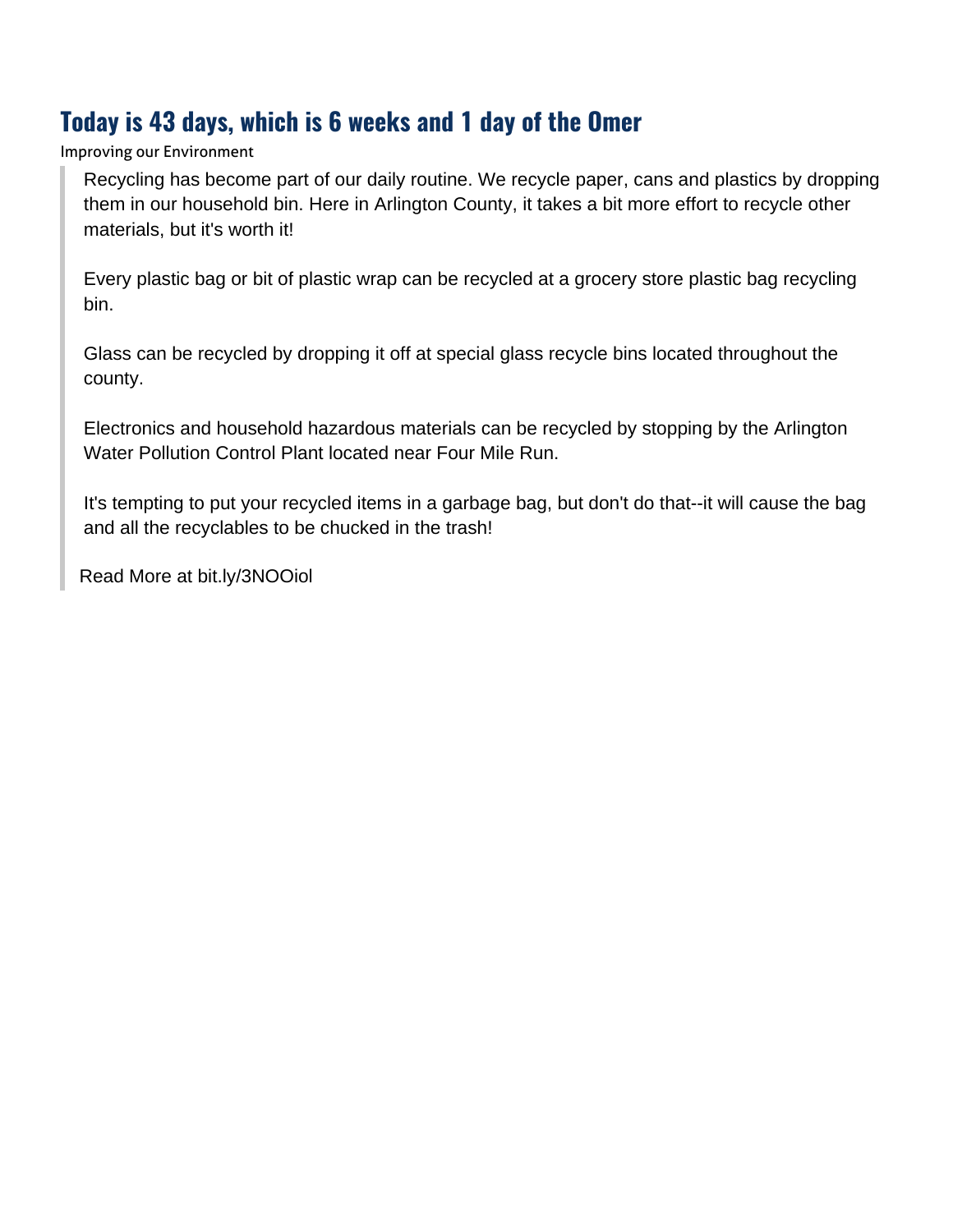## **Today is 43 days, which is 6 weeks and 1 day of the Omer**

Improving our Environment

Recycling has become part of our daily routine. We recycle paper, cans and plastics by dropping them in our household bin. Here in Arlington County, it takes a bit more effort to recycle other materials, but it's worth it!

Every plastic bag or bit of plastic wrap can be recycled at a grocery store plastic bag recycling bin.

Glass can be recycled by dropping it off at special glass recycle bins located throughout the county.

Electronics and household hazardous materials can be recycled by stopping by the Arlington Water Pollution Control Plant located near Four Mile Run.

It's tempting to put your recycled items in a garbage bag, but don't do that--it will cause the bag and all the recyclables to be chucked in the trash!

[Read More at bit.ly/3NOOiol](https://www.arlingtonva.us/Government/Programs/Recycling-and-Trash)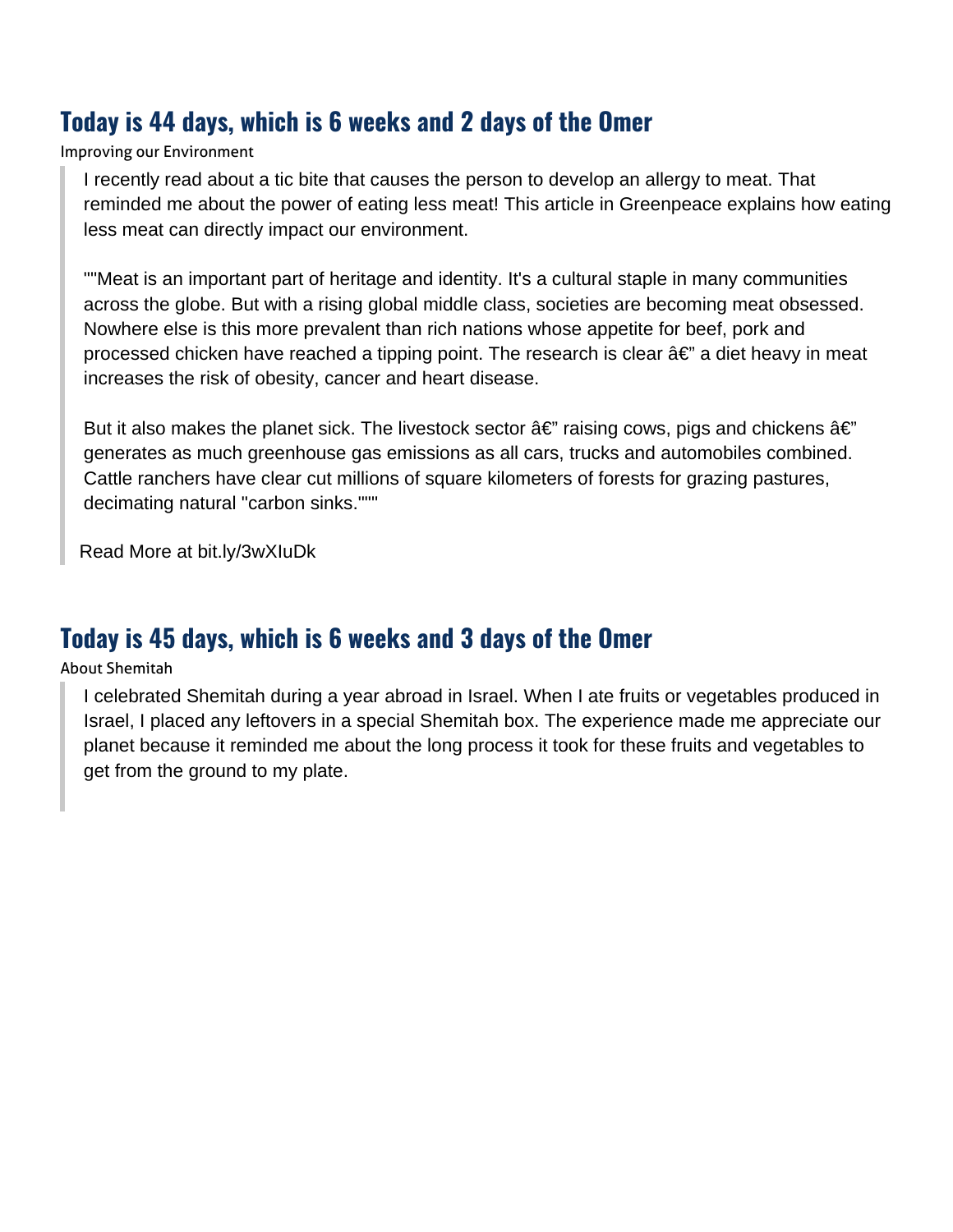## **Today is 44 days, which is 6 weeks and 2 days of the Omer**

Improving our Environment

I recently read about a tic bite that causes the person to develop an allergy to meat. That reminded me about the power of eating less meat! This article in Greenpeace explains how eating less meat can directly impact our environment.

""Meat is an important part of heritage and identity. It's a cultural staple in many communities across the globe. But with a rising global middle class, societies are becoming meat obsessed. Nowhere else is this more prevalent than rich nations whose appetite for beef, pork and processed chicken have reached a tipping point. The research is clear  $\hat{a} \in \mathcal{C}$  a diet heavy in meat increases the risk of obesity, cancer and heart disease.

But it also makes the planet sick. The livestock sector  $\hat{a}\epsilon$ " raising cows, pigs and chickens  $\hat{a}\epsilon$ " generates as much greenhouse gas emissions as all cars, trucks and automobiles combined. Cattle ranchers have clear cut millions of square kilometers of forests for grazing pastures, decimating natural "carbon sinks."""

[Read More at bit.ly/3wXIuDk](https://www.greenpeace.org/usa/sustainable-agriculture/eco-farming/eat-more-plants/)

#### **Today is 45 days, which is 6 weeks and 3 days of the Omer**

#### About Shemitah

I celebrated Shemitah during a year abroad in Israel. When I ate fruits or vegetables produced in Israel, I placed any leftovers in a special Shemitah box. The experience made me appreciate our planet because it reminded me about the long process it took for these fruits and vegetables to get from the ground to my plate.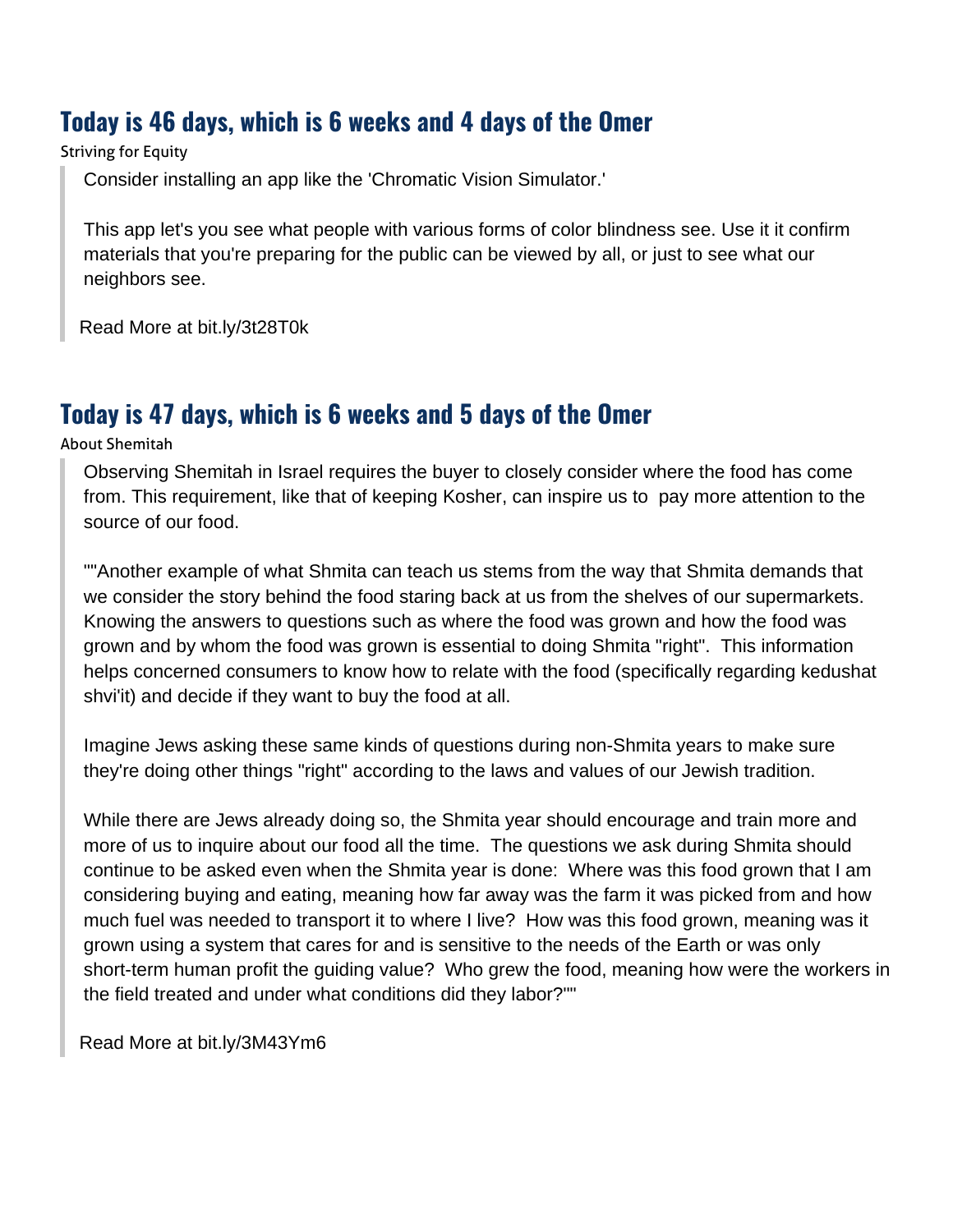## **Today is 46 days, which is 6 weeks and 4 days of the Omer**

#### Striving for Equity

Consider installing an app like the 'Chromatic Vision Simulator.'

This app let's you see what people with various forms of color blindness see. Use it it confirm materials that you're preparing for the public can be viewed by all, or just to see what our neighbors see.

[Read More at bit.ly/3t28T0k](https://play.google.com/store/apps/details?id=asada0.android.cvsimulator&hl=en_US&gl=US)

#### **Today is 47 days, which is 6 weeks and 5 days of the Omer**

About Shemitah

Observing Shemitah in Israel requires the buyer to closely consider where the food has come from. This requirement, like that of keeping Kosher, can inspire us to pay more attention to the source of our food.

""Another example of what Shmita can teach us stems from the way that Shmita demands that we consider the story behind the food staring back at us from the shelves of our supermarkets. Knowing the answers to questions such as where the food was grown and how the food was grown and by whom the food was grown is essential to doing Shmita "right". This information helps concerned consumers to know how to relate with the food (specifically regarding kedushat shvi'it) and decide if they want to buy the food at all.

Imagine Jews asking these same kinds of questions during non-Shmita years to make sure they're doing other things "right" according to the laws and values of our Jewish tradition.

While there are Jews already doing so, the Shmita year should encourage and train more and more of us to inquire about our food all the time. The questions we ask during Shmita should continue to be asked even when the Shmita year is done: Where was this food grown that I am considering buying and eating, meaning how far away was the farm it was picked from and how much fuel was needed to transport it to where I live? How was this food grown, meaning was it grown using a system that cares for and is sensitive to the needs of the Earth or was only short-term human profit the guiding value? Who grew the food, meaning how were the workers in the field treated and under what conditions did they labor?""

[Read More at bit.ly/3M43Ym6](https://hazon.org/shmita-blog-post-tishrei/)